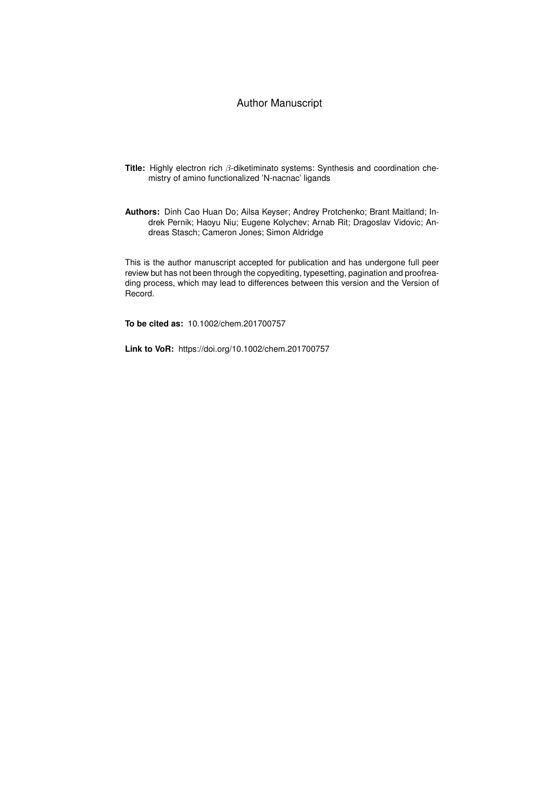#### Author Manuscript

- **Title:** Highly electron rich β-diketiminato systems: Synthesis and coordination chemistry of amino functionalized 'N-nacnac' ligands
- **Authors:** Dinh Cao Huan Do; Ailsa Keyser; Andrey Protchenko; Brant Maitland; Indrek Pernik; Haoyu Niu; Eugene Kolychev; Arnab Rit; Dragoslav Vidovic; Andreas Stasch; Cameron Jones; Simon Aldridge

This is the author manuscript accepted for publication and has undergone full peer review but has not been through the copyediting, typesetting, pagination and proofreading process, which may lead to differences between this version and the Version of Record.

**To be cited as:** 10.1002/chem.201700757

**Link to VoR:** https://doi.org/10.1002/chem.201700757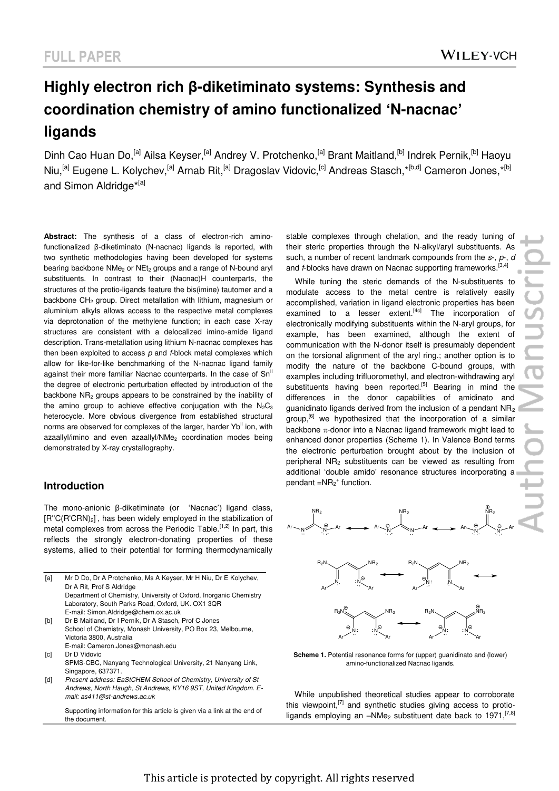# **Highly electron rich β-diketiminato systems: Synthesis and coordination chemistry of amino functionalized 'N-nacnac' ligands**

Dinh Cao Huan Do,<sup>[a]</sup> Ailsa Keyser,<sup>[a]</sup> Andrey V. Protchenko,<sup>[a]</sup> Brant Maitland,<sup>[b]</sup> Indrek Pernik,<sup>[b]</sup> Haoyu Niu,<sup>[a]</sup> Eugene L. Kolychev,<sup>[a]</sup> Arnab Rit,<sup>[a]</sup> Dragoslav Vidovic,<sup>[c]</sup> Andreas Stasch,\*<sup>[b,d]</sup> Cameron Jones,\*<sup>[b]</sup> and Simon Aldridge<sup>\*[a]</sup>

**Abstract:** The synthesis of a class of electron-rich aminofunctionalized β-diketiminato (N-nacnac) ligands is reported, with two synthetic methodologies having been developed for systems bearing backbone NMe<sub>2</sub> or NEt<sub>2</sub> groups and a range of N-bound aryl substituents. In contrast to their (Nacnac)H counterparts, the structures of the protio-ligands feature the bis(imine) tautomer and a backbone CH<sub>2</sub> group. Direct metallation with lithium, magnesium or aluminium alkyls allows access to the respective metal complexes via deprotonation of the methylene function; in each case X-ray structures are consistent with a delocalized imino-amide ligand description. Trans-metallation using lithium N-nacnac complexes has then been exploited to access *p* and *f*-block metal complexes which allow for like-for-like benchmarking of the N-nacnac ligand family against their more familiar Nacnac counterparts. In the case of  $Sn<sup>II</sup>$ the degree of electronic perturbation effected by introduction of the backbone NR<sub>2</sub> groups appears to be constrained by the inability of the amino group to achieve effective conjugation with the  $N_2C_3$ heterocycle. More obvious divergence from established structural norms are observed for complexes of the larger, harder Yb<sup>II</sup> ion, with azaallyl/imino and even azaallyl/NMe<sub>2</sub> coordination modes being demonstrated by X-ray crystallography.

#### **Introduction**

The mono-anionic β-diketiminate (or 'Nacnac') ligand class, [R"C(R'CRN)<sub>2</sub>], has been widely employed in the stabilization of metal complexes from across the Periodic Table.<sup>[1,2]</sup> In part, this reflects the strongly electron-donating properties of these systems, allied to their potential for forming thermodynamically

| [a] | Mr D Do, Dr A Protchenko, Ms A Keyser, Mr H Niu, Dr E Kolychev,    |
|-----|--------------------------------------------------------------------|
|     | Dr A Rit. Prof S Aldridge                                          |
|     | Department of Chemistry, University of Oxford, Inorganic Chemistry |
|     | Laboratory, South Parks Road, Oxford, UK. OX1 3QR                  |
|     | E-mail: Simon.Aldridge@chem.ox.ac.uk                               |
| [b] | Dr B Maitland, Dr I Pernik, Dr A Stasch, Prof C Jones              |

- School of Chemistry, Monash University, PO Box 23, Melbourne, Victoria 3800, Australia E-mail: Cameron.Jones@monash.edu
- [c] Dr D Vidovic
- SPMS-CBC, Nanyang Technological University, 21 Nanyang Link, Singapore, 637371.
- [d] Present address: EaStCHEM School of Chemistry, University of St *Andrews, North Haugh, St Andrews, KY16 9ST, United Kingdom. Email: as411@st-andrews.ac.uk*

 Supporting information for this article is given via a link at the end of the document.

stable complexes through chelation, and the ready tuning of their steric properties through the N-alkyl/aryl substituents. As such, a number of recent landmark compounds from the *s*-, *p*-, *d* and *f*-blocks have drawn on Nacnac supporting frameworks.<sup>[3,4]</sup>

While tuning the steric demands of the N-substituents to modulate access to the metal centre is relatively easily accomplished, variation in ligand electronic properties has been examined to a lesser extent.<sup>[4c]</sup> The incorporation of electronically modifying substituents within the N-aryl groups, for example, has been examined, although the extent of communication with the N-donor itself is presumably dependent on the torsional alignment of the aryl ring.; another option is to modify the nature of the backbone C-bound groups, with examples including trifluoromethyl, and electron-withdrawing aryl substituents having been reported.<sup>[5]</sup> Bearing in mind the differences in the donor capabilities of amidinato and guanidinato ligands derived from the inclusion of a pendant NR<sup>2</sup> group,<sup>[6]</sup> we hypothesized that the incorporation of a similar backbone  $\pi$ -donor into a Nacnac ligand framework might lead to enhanced donor properties (Scheme 1). In Valence Bond terms the electronic perturbation brought about by the inclusion of peripheral NR2 substituents can be viewed as resulting from additional 'double amido' resonance structures incorporating a pendant  $=NR_2^+$  function.





**Scheme 1.** Potential resonance forms for (upper) guanidinato and (lower) amino-functionalized Nacnac ligands.

While unpublished theoretical studies appear to corroborate this viewpoint, $^{[7]}$  and synthetic studies giving access to protioligands employing an  $-M$ Me<sub>2</sub> substituent date back to 1971.<sup>[7,8]</sup>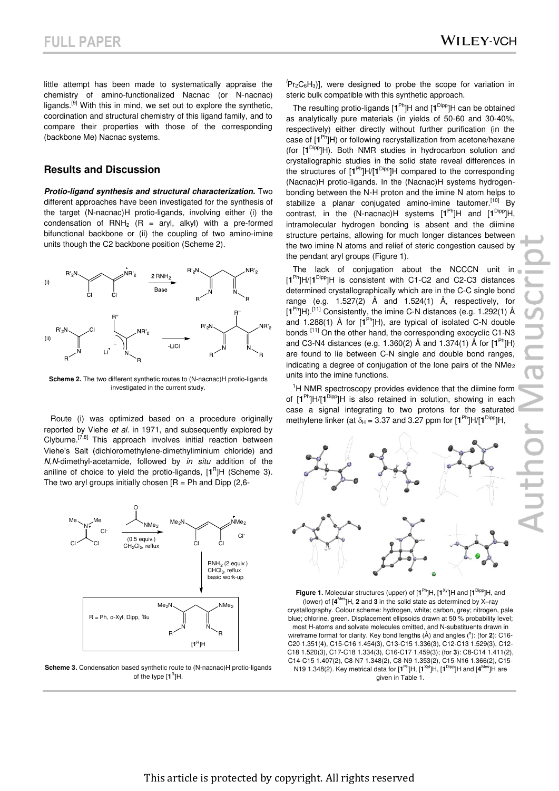little attempt has been made to systematically appraise the chemistry of amino-functionalized Nacnac (or N-nacnac) ligands.<sup>[9]</sup> With this in mind, we set out to explore the synthetic, coordination and structural chemistry of this ligand family, and to compare their properties with those of the corresponding (backbone Me) Nacnac systems.

#### **Results and Discussion**

*Protio-ligand synthesis and structural characterization.* Two different approaches have been investigated for the synthesis of the target (N-nacnac)H protio-ligands, involving either (i) the condensation of  $RNH_2$  (R = aryl, alkyl) with a pre-formed bifunctional backbone or (ii) the coupling of two amino-imine units though the C2 backbone position (Scheme 2).



**Scheme 2.** The two different synthetic routes to (N-nacnac)H protio-ligands investigated in the current study.

Route (i) was optimized based on a procedure originally reported by Viehe *et al.* in 1971, and subsequently explored by Clyburne.[7,8] This approach involves initial reaction between Viehe's Salt (dichloromethylene-dimethyliminium chloride) and *N*,*N*-dimethyl-acetamide, followed by *in situ* addition of the aniline of choice to yield the protio-ligands,  $[1<sup>R</sup>]H$  (Scheme 3). The two aryl groups initially chosen  $IR = Ph$  and Dipp (2,6-



Scheme 3. Condensation based synthetic route to (N-nacnac)H protio-ligands of the type  $[1^R]$ H.

 $P_{\rm r2}C_6H_3$ ], were designed to probe the scope for variation in steric bulk compatible with this synthetic approach.

The resulting protio-ligands [**1** Ph]H and [**1** Dipp]H can be obtained as analytically pure materials (in yields of 50-60 and 30-40%, respectively) either directly without further purification (in the case of [**1** Ph]H) or following recrystallization from acetone/hexane (for [**1** Dipp]H). Both NMR studies in hydrocarbon solution and crystallographic studies in the solid state reveal differences in the structures of [**1** Ph]H/[**1** Dipp]H compared to the corresponding (Nacnac)H protio-ligands. In the (Nacnac)H systems hydrogenbonding between the N-H proton and the imine N atom helps to stabilize a planar conjugated amino-imine tautomer.<sup>[10]</sup> By contrast, in the (N-nacnac)H systems [**1** Ph]H and [**1** Dipp]H, intramolecular hydrogen bonding is absent and the diimine structure pertains, allowing for much longer distances between the two imine N atoms and relief of steric congestion caused by the pendant aryl groups (Figure 1).

The lack of conjugation about the NCCCN unit in [**1** Ph]H/[**1** Dipp]H is consistent with C1-C2 and C2-C3 distances determined crystallographically which are in the C-C single bond range (e.g. 1.527(2) Å and 1.524(1) Å, respectively, for [**1** Ph]H).[11] Consistently, the imine C-N distances (e.g. 1.292(1) Å and 1.288(1) Å for [**1** Ph]H), are typical of isolated C-N double bonds [11] On the other hand, the corresponding exocyclic C1-N3 and C3-N4 distances (e.g. 1.360(2) Å and 1.374(1) Å for [**1** Ph]H) are found to lie between C-N single and double bond ranges, indicating a degree of conjugation of the lone pairs of the NMe<sub>2</sub> units into the imine functions.

<sup>1</sup>H NMR spectroscopy provides evidence that the diimine form of [**1** Ph]H/[**1** Dipp]H is also retained in solution, showing in each case a signal integrating to two protons for the saturated methylene linker (at  $\delta_H$  = 3.37 and 3.27 ppm for  $[1^{\text{Ph}}]H/[1^{\text{Dipp}}]H$ ,



**Figure 1.** Molecular structures (upper) of  $[1^{Ph}]H$ ,  $[1^{Xyl}]H$  and  $[1^{Dipp}]H$ , and (lower) of [**4** Mes]H, **2** and **3** in the solid state as determined by X–ray crystallography. Colour scheme: hydrogen, white; carbon, grey; nitrogen, pale blue; chlorine, green. Displacement ellipsoids drawn at 50 % probability level; most H-atoms and solvate molecules omitted, and N-substituents drawn in wireframe format for clarity. Key bond lengths (Å) and angles (°): (for 2): C16-C20 1.351(4), C15-C16 1.454(3), C13-C15 1.336(3), C12-C13 1.529(3), C12- C18 1.520(3), C17-C18 1.334(3), C16-C17 1.459(3); (for **3**): C8-C14 1.411(2), C14-C15 1.407(2), C8-N7 1.348(2), C8-N9 1.353(2), C15-N16 1.366(2), C15- N19 1.348(2). Key metrical data for  $[1^{Ph}]H$ ,  $[1^{Xyl}]H$ ,  $[1^{Dipp}]H$  and  $[4^{Mes}]H$  are given in Table 1.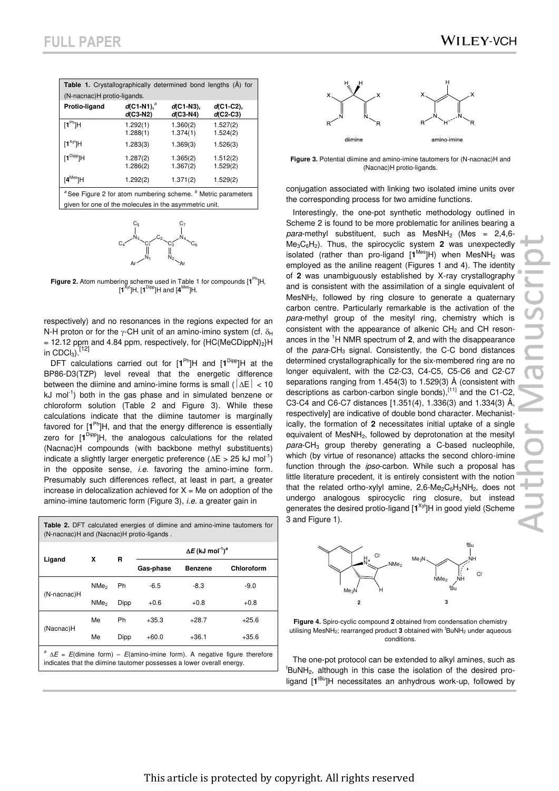| Table 1. Crystallographically determined bond lengths (A) for                                                                                 |                                 |                             |                             |  |  |
|-----------------------------------------------------------------------------------------------------------------------------------------------|---------------------------------|-----------------------------|-----------------------------|--|--|
| (N-nacnac)H protio-ligands.                                                                                                                   |                                 |                             |                             |  |  |
| Protio-ligand                                                                                                                                 | $d$ (C1-N1), $^a$<br>$d(C3-N2)$ | $d(C1-N3)$ ,<br>$d$ (C3-N4) | $d$ (C1-C2),<br>$d$ (C2-C3) |  |  |
| $[1^{\text{Ph}}]$ H                                                                                                                           | 1.292(1)<br>1.288(1)            | 1.360(2)<br>1.374(1)        | 1.527(2)<br>1.524(2)        |  |  |
| $[1^{xy}$ ]H                                                                                                                                  | 1.283(3)                        | 1.369(3)                    | 1.526(3)                    |  |  |
| $[1^{Dipp}]$ H                                                                                                                                | 1.287(2)<br>1.286(2)            | 1.365(2)<br>1.367(2)        | 1.512(2)<br>1.529(2)        |  |  |
| $[4^{Mes}]H$                                                                                                                                  | 1.292(2)                        | 1.371(2)                    | 1.529(2)                    |  |  |
| <sup>a</sup> See Figure 2 for atom numbering scheme. <sup>b</sup> Metric parameters<br>given for one of the molecules in the asymmetric unit. |                                 |                             |                             |  |  |



**Figure 2.** Atom numbering scheme used in Table 1 for compounds [**1** Ph]H, [**1** Xyl]H, [**1** Dipp]H and [**4** Mes]H.

respectively) and no resonances in the regions expected for an N-H proton or for the  $\gamma$ -CH unit of an amino-imino system (cf.  $\delta_H$ ) = 12.12 ppm and 4.84 ppm, respectively, for  ${HC(MeCDippN)<sub>2</sub>}H$ in  $CDCl<sub>3</sub>$ ).  $^{[12]}$ 

DFT calculations carried out for  $[1^{Ph}]H$  and  $[1^{Dipp}]H$  at the BP86-D3(TZP) level reveal that the energetic difference between the diimine and amino-imine forms is small ( $|\Delta E|$  < 10 kJ mol<sup>-1</sup>) both in the gas phase and in simulated benzene or chloroform solution (Table 2 and Figure 3). While these calculations indicate that the diimine tautomer is marginally favored for [**1** Ph]H, and that the energy difference is essentially zero for [**1** Dipp]H, the analogous calculations for the related (Nacnac)H compounds (with backbone methyl substituents) indicate a slightly larger energetic preference ( $\Delta E > 25$  kJ mol<sup>-1</sup>) in the opposite sense, *i.e.* favoring the amino-imine form. Presumably such differences reflect, at least in part, a greater increase in delocalization achieved for  $X = Me$  on adoption of the amino-imine tautomeric form (Figure 3), *i.e.* a greater gain in

| <b>Table 2.</b> DFT calculated energies of diimine and amino-imine tautomers for<br>(N-nacnac)H and (Nacnac)H protio-ligands.                                   |                  |      |                                                 |                |            |
|-----------------------------------------------------------------------------------------------------------------------------------------------------------------|------------------|------|-------------------------------------------------|----------------|------------|
|                                                                                                                                                                 | x                | R    | $\Delta E$ (kJ mol <sup>-1</sup> ) <sup>a</sup> |                |            |
| Ligand                                                                                                                                                          |                  |      | Gas-phase                                       | <b>Benzene</b> | Chloroform |
|                                                                                                                                                                 | NMe <sub>2</sub> | Ph   | $-6.5$                                          | $-8.3$         | $-9.0$     |
| (N-nacnac)H                                                                                                                                                     | NMe <sub>2</sub> | Dipp | $+0.6$                                          | $+0.8$         | $+0.8$     |
|                                                                                                                                                                 | Me               | Ph   | $+35.3$                                         | $+28.7$        | $+25.6$    |
| (Nacnac)H                                                                                                                                                       | Me               | Dipp | $+60.0$                                         | $+36.1$        | $+35.6$    |
| $A^a \Delta E = E$ (dimine form) – $E$ (amino-imine form). A negative figure therefore<br>indicates that the diimine tautomer possesses a lower overall energy. |                  |      |                                                 |                |            |



**Figure 3.** Potential diimine and amino-imine tautomers for (N-nacnac)H and (Nacnac)H protio-ligands.

conjugation associated with linking two isolated imine units over the corresponding process for two amidine functions.

Interestingly, the one-pot synthetic methodology outlined in Scheme 2 is found to be more problematic for anilines bearing a para-methyl substituent, such as MesNH<sub>2</sub> (Mes = 2,4,6-Me3C6H2). Thus, the spirocyclic system **2** was unexpectedly isolated (rather than pro-ligand [1<sup>Mes</sup>]H) when MesNH<sub>2</sub> was employed as the aniline reagent (Figures 1 and 4). The identity of **2** was unambiguously established by X-ray crystallography and is consistent with the assimilation of a single equivalent of MesNH2, followed by ring closure to generate a quaternary carbon centre. Particularly remarkable is the activation of the *para*-methyl group of the mesityl ring, chemistry which is consistent with the appearance of alkenic  $CH<sub>2</sub>$  and CH resonances in the <sup>1</sup>H NMR spectrum of **2**, and with the disappearance of the *para*-CH<sub>3</sub> signal. Consistently, the C-C bond distances determined crystallographically for the six-membered ring are no longer equivalent, with the C2-C3, C4-C5, C5-C6 and C2-C7 separations ranging from 1.454(3) to 1.529(3) Å (consistent with descriptions as carbon-carbon single bonds), $[11]$  and the C1-C2, C3-C4 and C6-C7 distances [1.351(4), 1.336(3) and 1.334(3) Å, respectively] are indicative of double bond character. Mechanistically, the formation of **2** necessitates initial uptake of a single equivalent of MesNH<sub>2</sub>, followed by deprotonation at the mesityl para-CH<sub>3</sub> group thereby generating a C-based nucleophile, which (by virtue of resonance) attacks the second chloro-imine function through the *ipso*-carbon. While such a proposal has little literature precedent, it is entirely consistent with the notion that the related ortho-xylyl amine,  $2,6$ -Me<sub>2</sub>C<sub>6</sub>H<sub>3</sub>NH<sub>2</sub>, does not undergo analogous spirocyclic ring closure, but instead generates the desired protio-ligand [1<sup>Xyl</sup>]H in good yield (Scheme 3 and Figure 1).



**Figure 4.** Spiro-cyclic compound **2** obtained from condensation chemistry utilising MesNH<sub>2</sub>; rearranged product 3 obtained with <sup>*t*</sup>BuNH<sub>2</sub> under aqueous conditions.

The one-pot protocol can be extended to alkyl amines, such as  ${}^{\text{t}}$ BuNH<sub>2</sub>, although in this case the isolation of the desired proligand [1<sup>tBu</sup>]H necessitates an anhydrous work-up, followed by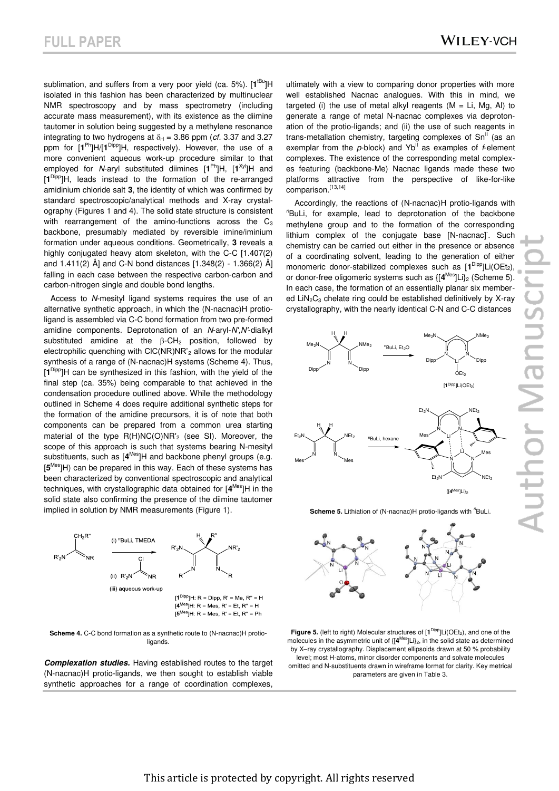sublimation, and suffers from a very poor yield (ca. 5%). [1<sup>tBu</sup>]H isolated in this fashion has been characterized by multinuclear NMR spectroscopy and by mass spectrometry (including accurate mass measurement), with its existence as the diimine tautomer in solution being suggested by a methylene resonance integrating to two hydrogens at  $\delta_H = 3.86$  ppm (*cf.* 3.37 and 3.27 ppm for  $[1^{Ph}]H/[1^{Dipp}]H$ , respectively). However, the use of a more convenient aqueous work-up procedure similar to that employed for *N*-aryl substituted diimines [1<sup>Ph</sup>]H, [1<sup>Xyl</sup>]H and [**1** Dipp]H, leads instead to the formation of the re-arranged amidinium chloride salt **3**, the identity of which was confirmed by standard spectroscopic/analytical methods and X-ray crystalography (Figures 1 and 4). The solid state structure is consistent with rearrangement of the amino-functions across the  $C_3$ backbone, presumably mediated by reversible imine/iminium formation under aqueous conditions. Geometrically, **3** reveals a highly conjugated heavy atom skeleton, with the C-C [1.407(2) and 1.411(2) Å] and C-N bond distances [1.348(2) - 1.366(2) Å] falling in each case between the respective carbon-carbon and carbon-nitrogen single and double bond lengths.

Access to *N*-mesityl ligand systems requires the use of an alternative synthetic approach, in which the (N-nacnac)H protioligand is assembled via C-C bond formation from two pre-formed amidine components. Deprotonation of an *N*-aryl-*N',N'*-dialkyl substituted amidine at the  $\beta$ -CH<sub>2</sub> position, followed by electrophilic quenching with ClC(NR)NR'2 allows for the modular synthesis of a range of (N-nacnac)H systems (Scheme 4). Thus, [**1** Dipp]H can be synthesized in this fashion, with the yield of the final step (ca. 35%) being comparable to that achieved in the condensation procedure outlined above. While the methodology outlined in Scheme 4 does require additional synthetic steps for the formation of the amidine precursors, it is of note that both components can be prepared from a common urea starting material of the type R(H)NC(O)NR'2 (see SI). Moreover, the scope of this approach is such that systems bearing N-mesityl substituents, such as [4<sup>Mes</sup>]H and backbone phenyl groups (e.g. [**5** Mes]H) can be prepared in this way. Each of these systems has been characterized by conventional spectroscopic and analytical techniques, with crystallographic data obtained for [**4** Mes]H in the solid state also confirming the presence of the diimine tautomer implied in solution by NMR measurements (Figure 1).



**Scheme 4.** C-C bond formation as a synthetic route to (N-nacnac)H protioligands.

*Complexation studies.* Having established routes to the target (N-nacnac)H protio-ligands, we then sought to establish viable synthetic approaches for a range of coordination complexes,

ultimately with a view to comparing donor properties with more well established Nacnac analogues. With this in mind, we targeted (i) the use of metal alkyl reagents  $(M = Li, Mg, Al)$  to generate a range of metal N-nacnac complexes via deprotonation of the protio-ligands; and (ii) the use of such reagents in trans-metallation chemistry, targeting complexes of  $Sn<sup>II</sup>$  (as an exemplar from the *p*-block) and Yb<sup>II</sup> as examples of *f*-element complexes. The existence of the corresponding metal complexes featuring (backbone-Me) Nacnac ligands made these two platforms attractive from the perspective of like-for-like comparison.<sup>[13,14]</sup>

Accordingly, the reactions of (N-nacnac)H protio-ligands with *<sup>n</sup>*BuLi, for example, lead to deprotonation of the backbone methylene group and to the formation of the corresponding lithium complex of the conjugate base [N-nacnac]. Such chemistry can be carried out either in the presence or absence of a coordinating solvent, leading to the generation of either monomeric donor-stabilized complexes such as [1<sup>Dipp</sup>]Li(OEt<sub>2</sub>), or donor-free oligomeric systems such as {[**4** Mes]Li}2 (Scheme 5). In each case, the formation of an essentially planar six membered  $LiN<sub>2</sub>C<sub>3</sub>$  chelate ring could be established definitively by X-ray crystallography, with the nearly identical C-N and C-C distances



**Scheme 5.** Lithiation of (N-nacnac)H protio-ligands with <sup>n</sup>BuLi.



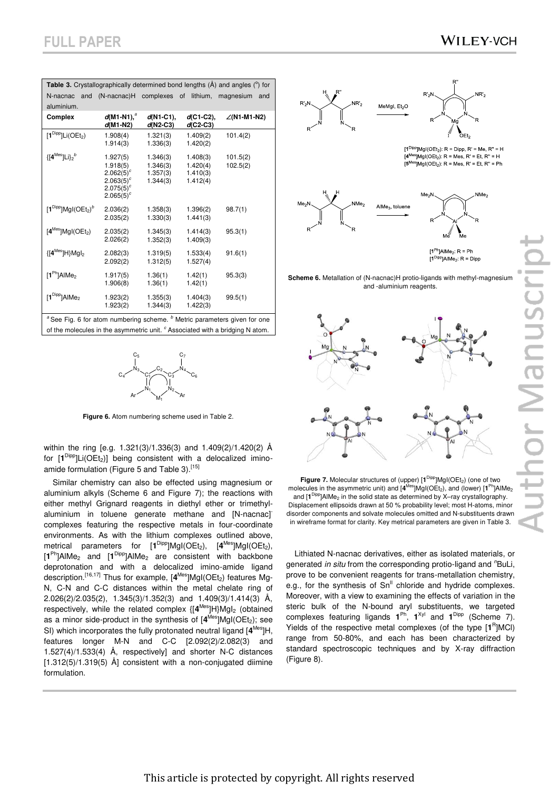|                                                                   |                                                                                              |                                              |                                              | <b>Table 3.</b> Crystallographically determined bond lengths $(\hat{A})$ and angles $(^\circ)$ for |
|-------------------------------------------------------------------|----------------------------------------------------------------------------------------------|----------------------------------------------|----------------------------------------------|----------------------------------------------------------------------------------------------------|
|                                                                   |                                                                                              |                                              |                                              |                                                                                                    |
| N-nacnac<br>and                                                   | $(N$ -nacnac $)$ H                                                                           | complexes                                    | lithium,<br>of                               | magnesium<br>and                                                                                   |
| aluminium.                                                        |                                                                                              |                                              |                                              |                                                                                                    |
| Complex                                                           | $d(M1-N1)^a$<br>$d(M1-N2)$                                                                   | $d(N1-C1)$<br>$d(N2-C3)$                     | $d$ (C1-C2).<br>$d$ (C2-C3)                  | $\angle$ (N1-M1-N2)                                                                                |
| $[1^{Dipp}]$ Li(OEt <sub>2</sub> )                                | 1.908(4)                                                                                     | 1.321(3)                                     | 1.409(2)                                     | 101.4(2)                                                                                           |
|                                                                   | 1.914(3)                                                                                     | 1.336(3)                                     | 1.420(2)                                     |                                                                                                    |
| $\{\left[\mathbf{4}^{\text{Mes}}\right]\mathsf{Li}\}_{2}^{\ \ b}$ | 1.927(5)<br>1.918(5)<br>$2.062(5)^{c}$<br>$2.063(5)^{c}$<br>$2.075(5)^{c}$<br>$2.065(5)^{c}$ | 1.346(3)<br>1.346(3)<br>1.357(3)<br>1.344(3) | 1.408(3)<br>1.420(4)<br>1.410(3)<br>1.412(4) | 101.5(2)<br>102.5(2)                                                                               |
| $[1^{Dipp}]$ MgI(OEt <sub>2</sub> ) <sup>b</sup>                  | 2.036(2)<br>2.035(2)                                                                         | 1.358(3)<br>1.330(3)                         | 1.396(2)<br>1.441(3)                         | 98.7(1)                                                                                            |
| $[4^{Mes}]$ MgI(OEt <sub>2</sub> )                                | 2.035(2)<br>2.026(2)                                                                         | 1.345(3)<br>1.352(3)                         | 1.414(3)<br>1.409(3)                         | 95.3(1)                                                                                            |
| ${[4^{Mes}]}H{Mgl_2}$                                             | 2.082(3)<br>2.092(2)                                                                         | 1.319(5)<br>1.312(5)                         | 1.533(4)<br>1.527(4)                         | 91.6(1)                                                                                            |
| $[1^{Ph}]$ AlMe <sub>2</sub>                                      | 1.917(5)<br>1.906(8)                                                                         | 1.36(1)<br>1.36(1)                           | 1.42(1)<br>1.42(1)                           | 95.3(3)                                                                                            |
| $[1^{Dipp}]$ AlMe <sub>2</sub>                                    | 1.923(2)<br>1.923(2)                                                                         | 1.355(3)<br>1.344(3)                         | 1.404(3)<br>1.422(3)                         | 99.5(1)                                                                                            |

<sup>a</sup>See Fig. 6 for atom numbering scheme. <sup>*b*</sup> Metric parameters given for one of the molecules in the asymmetric unit. <sup>c</sup> Associated with a bridging N atom.



**Figure 6.** Atom numbering scheme used in Table 2.

within the ring [e.g. 1.321(3)/1.336(3) and 1.409(2)/1.420(2) Å for [1<sup>Dipp</sup>]Li(OEt<sub>2</sub>)] being consistent with a delocalized iminoamide formulation (Figure 5 and Table 3).<sup>[15]</sup>

Similar chemistry can also be effected using magnesium or aluminium alkyls (Scheme 6 and Figure 7); the reactions with either methyl Grignard reagents in diethyl ether or trimethylaluminium in toluene generate methane and [N-nacnac] complexes featuring the respective metals in four-coordinate environments. As with the lithium complexes outlined above, metrical parameters for [1<sup>Dipp</sup>]MgI(OEt<sub>2</sub>), [4<sup>Mes</sup>]MgI(OEt<sub>2</sub>), [1<sup>Ph</sup>]AlMe<sub>2</sub> and [1<sup>Dipp</sup>]AlMe<sub>2</sub> are consistent with backbone deprotonation and with a delocalized imino-amide ligand description.<sup>[16,17]</sup> Thus for example, [4<sup>Mes</sup>]MgI(OEt<sub>2</sub>) features Mg-N, C-N and C-C distances within the metal chelate ring of 2.026(2)/2.035(2), 1.345(3)/1.352(3) and 1.409(3)/1.414(3) Å, respectively, while the related complex  $\{[4^{Mes}]H\}Mgl_2$  (obtained as a minor side-product in the synthesis of [4<sup>Mes</sup>]MgI(OEt<sub>2</sub>); see SI) which incorporates the fully protonated neutral ligand [**4** Mes]H, features longer M-N and C-C [2.092(2)/2.082(3) and 1.527(4)/1.533(4) Å, respectively] and shorter N-C distances  $[1.312(5)/1.319(5)$  Å] consistent with a non-conjugated diimine formulation.



 $[4^{Mes}]$ Mgl(OEt<sub>2</sub>): R = Mes, R' = Et, R" = H  $[5^{Mes}$ ]MgI(OEt<sub>2</sub>): R = Mes, R' = Et, R" = Ph



 $[1^{\text{Ph}}]$ AlMe<sub>2</sub>: R = Ph  $[1^{Dipp}]$ AlMe<sub>2</sub>: R = Dipp

**Scheme 6.** Metallation of (N-nacnac)H protio-ligands with methyl-magnesium and -aluminium reagents.



**Figure 7.** Molecular structures of (upper)  $[1^{Dipp}]Mgl(OEt<sub>2</sub>)$  (one of two molecules in the asymmetric unit) and [4<sup>Mes</sup>]MgI(OEt<sub>2</sub>), and (lower) [1<sup>Ph</sup>]AlMe<sub>2</sub> and [1<sup>Dipp</sup>]AlMe<sub>2</sub> in the solid state as determined by X-ray crystallography. Displacement ellipsoids drawn at 50 % probability level; most H-atoms, minor disorder components and solvate molecules omitted and N-substituents drawn in wireframe format for clarity. Key metrical parameters are given in Table 3.

Lithiated N-nacnac derivatives, either as isolated materials, or generated *in situ* from the corresponding protio-ligand and <sup>n</sup>BuLi, prove to be convenient reagents for trans-metallation chemistry, e.g., for the synthesis of  $Sn<sup>II</sup>$  chloride and hydride complexes. Moreover, with a view to examining the effects of variation in the steric bulk of the N-bound aryl substituents, we targeted complexes featuring ligands  $1^{Ph}$ ,  $1^{Xyl}$  and  $1^{Dipp}$  (Scheme 7). Yields of the respective metal complexes (of the type [1<sup>R</sup>]MCI) range from 50-80%, and each has been characterized by standard spectroscopic techniques and by X-ray diffraction (Figure 8).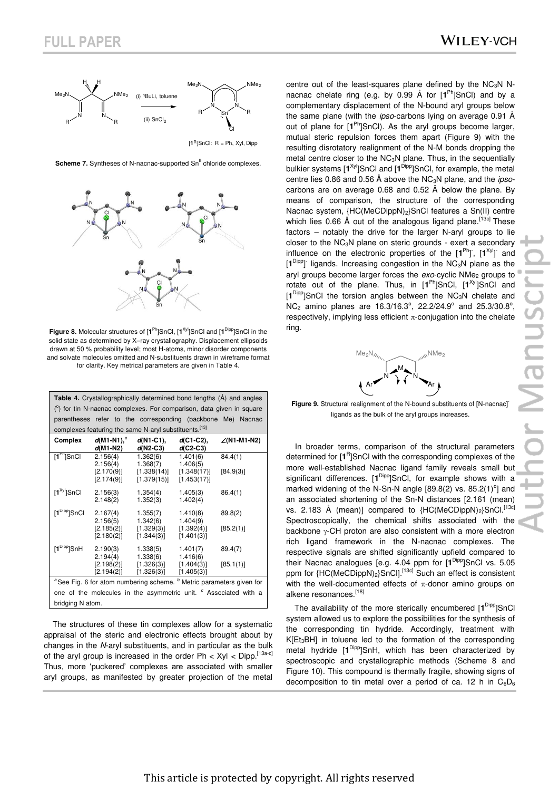

 $[1<sup>R</sup>]$ SnCl: R = Ph, Xyl, Dipp

**Scheme 7.** Syntheses of N-nacnac-supported Sn<sup>II</sup> chloride complexes.



**Figure 8.** Molecular structures of [1<sup>Ph</sup>]SnCl, [1<sup>Xyl</sup>]SnCl and [1<sup>Dipp</sup>]SnCl in the solid state as determined by X–ray crystallography. Displacement ellipsoids drawn at 50 % probability level; most H-atoms, minor disorder components and solvate molecules omitted and N-substituents drawn in wireframe format for clarity. Key metrical parameters are given in Table 4.

| Table 4. Crystallographically determined bond lengths (A) and angles                        |                                                                        |                                        |                                        |                     |  |  |
|---------------------------------------------------------------------------------------------|------------------------------------------------------------------------|----------------------------------------|----------------------------------------|---------------------|--|--|
|                                                                                             | $(°)$ for tin N-nacnac complexes. For comparison, data given in square |                                        |                                        |                     |  |  |
|                                                                                             | parentheses refer to the corresponding (backbone Me) Nacnac            |                                        |                                        |                     |  |  |
|                                                                                             | complexes featuring the same N-aryl substituents. <sup>[13]</sup>      |                                        |                                        |                     |  |  |
| <b>Complex</b>                                                                              | $d(M1-N1)^a$<br>$d(M1-N2)$                                             | $d(N1-C1)$ ,<br>$d(N2-C3)$             | $d$ (C1-C2),<br>$d$ (C2-C3)            | $\angle$ (N1-M1-N2) |  |  |
| $[1^{Pn}]$ SnCl                                                                             | 2.156(4)                                                               | 1.362(6)                               | 1.401(6)                               | 84.4(1)             |  |  |
|                                                                                             | 2.156(4)<br>[2.170(9)]<br>[2.174(9)]                                   | 1.368(7)<br>[1.338(14)]<br>[1.379(15)] | 1.406(5)<br>[1.348(17)]<br>[1.453(17)] | [84.9(3)]           |  |  |
| [1 <sup>Xyl</sup> ]SnCl                                                                     | 2.156(3)<br>2.148(2)                                                   | 1.354(4)<br>1.352(3)                   | 1.405(3)<br>1.402(4)                   | 86.4(1)             |  |  |
| [1 <sup>Dipp</sup> ]SnCl                                                                    | 2.167(4)                                                               | 1.355(7)                               | 1.410(8)                               | 89.8(2)             |  |  |
|                                                                                             | 2.156(5)<br>[2.185(2)]<br>[2.180(2)]                                   | 1.342(6)<br>[1.329(3)]<br>[1.344(3)]   | 1.404(9)<br>[1.392(4)]<br>[1.401(3)]   | [85.2(1)]           |  |  |
| [1 <sup>Dipp</sup> ]SnH                                                                     | 2.190(3)<br>2.194(4)                                                   | 1.338(5)<br>1.338(6)                   | 1.401(7)<br>1.416(6)                   | 89.4(7)             |  |  |
|                                                                                             | [2.198(2)]<br>[2.194(2)]                                               | [1.326(3)]<br>[1.326(3)]               | [1.404(3)]<br>[1.405(3)]               | [85.1(1)]           |  |  |
| <sup>a</sup> See Fig. 6 for atom numbering scheme. <sup>b</sup> Metric parameters given for |                                                                        |                                        |                                        |                     |  |  |
| one of the molecules in the asymmetric unit. <sup>c</sup> Associated with a                 |                                                                        |                                        |                                        |                     |  |  |
| bridging N atom.                                                                            |                                                                        |                                        |                                        |                     |  |  |

The structures of these tin complexes allow for a systematic appraisal of the steric and electronic effects brought about by changes in the *N*-aryl substituents, and in particular as the bulk of the aryl group is increased in the order Ph <  $X$ yl < Dipp. [13a-c] Thus, more 'puckered' complexes are associated with smaller aryl groups, as manifested by greater projection of the metal centre out of the least-squares plane defined by the  $NC_3N$  Nnacnac chelate ring (e.g. by 0.99 Å for [**1** Ph]SnCl) and by a complementary displacement of the N-bound aryl groups below the same plane (with the *ipso*-carbons lying on average 0.91 Å out of plane for [1<sup>Ph</sup>]SnCl). As the aryl groups become larger, mutual steric repulsion forces them apart (Figure 9) with the resulting disrotatory realignment of the N-M bonds dropping the metal centre closer to the NC<sub>3</sub>N plane. Thus, in the sequentially bulkier systems [1<sup>Xyl</sup>]SnCl and [1<sup>Dipp</sup>]SnCl, for example, the metal centre lies 0.86 and 0.56 Å above the NC3N plane, and the *ipso*carbons are on average 0.68 and 0.52 Å below the plane. By means of comparison, the structure of the corresponding Nacnac system, {HC(MeCDippN)<sub>2</sub>}SnCl features a Sn(II) centre which lies 0.66 Å out of the analogous ligand plane. [13c] These factors – notably the drive for the larger N-aryl groups to lie closer to the NC3N plane on steric grounds - exert a secondary influence on the electronic properties of the  $[1^{Ph}]$ ,  $[1^{Xyl}]$  and [1<sup>Dipp</sup>] ligands. Increasing congestion in the NC<sub>3</sub>N plane as the aryl groups become larger forces the *exo*-cyclic NMe<sub>2</sub> groups to rotate out of the plane. Thus, in [1<sup>Ph</sup>]SnCl, [1<sup>Xyl</sup>]SnCl and [**1** Dipp]SnCl the torsion angles between the NC3N chelate and  $NC<sub>2</sub>$  amino planes are 16.3/16.3°, 22.2/24.9° and 25.3/30.8°, respectively, implying less efficient  $\pi$ -conjugation into the chelate ring.



**Figure 9.** Structural realignment of the N-bound substituents of [N-nacnac] ligands as the bulk of the aryl groups increases.

In broader terms, comparison of the structural parameters determined for [1<sup>R</sup>]SnCl with the corresponding complexes of the more well-established Nacnac ligand family reveals small but significant differences. [1<sup>Dipp</sup>]SnCl, for example shows with a marked widening of the N-Sn-N angle  $[89.8(2)$  vs.  $85.2(1)^\circ]$  and an associated shortening of the Sn-N distances [2.161 (mean) vs. 2.183 Å (mean)] compared to {HC(MeCDippN)<sub>2</sub>}SnCl.<sup>[13c]</sup> Spectroscopically, the chemical shifts associated with the backbone  $\gamma$ -CH proton are also consistent with a more electron rich ligand framework in the N-nacnac complexes. The respective signals are shifted significantly upfield compared to their Nacnac analogues [e.g. 4.04 ppm for [**1** Dipp]SnCl vs. 5.05 ppm for {HC(MeCDippN)<sub>2</sub>}SnCl].<sup>[13c]</sup> Such an effect is consistent with the well-documented effects of  $\pi$ -donor amino groups on alkene resonances.<sup>[18]</sup>

The availability of the more sterically encumbered [**1** Dipp]SnCl system allowed us to explore the possibilities for the synthesis of the corresponding tin hydride. Accordingly, treatment with K[Et<sub>3</sub>BH] in toluene led to the formation of the corresponding metal hydride [**1** Dipp]SnH, which has been characterized by spectroscopic and crystallographic methods (Scheme 8 and Figure 10). This compound is thermally fragile, showing signs of decomposition to tin metal over a period of ca. 12 h in  $C_6D_6$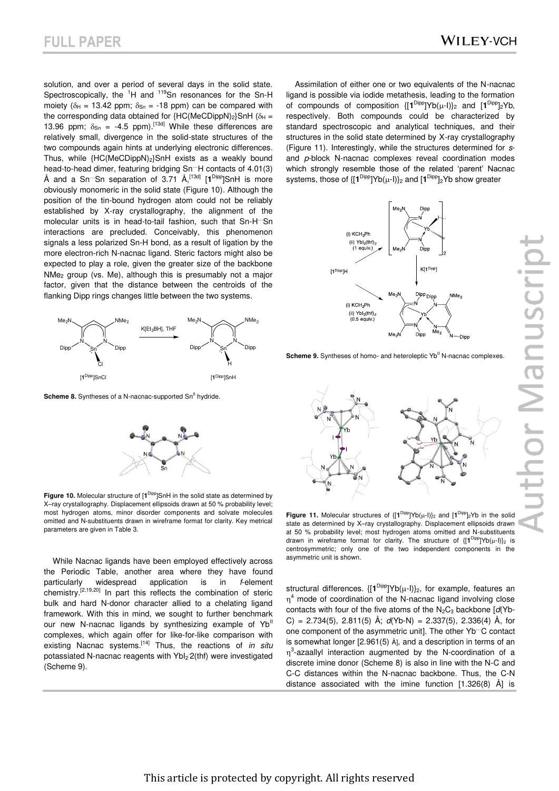solution, and over a period of several days in the solid state. Spectroscopically, the <sup>1</sup>H and <sup>119</sup>Sn resonances for the Sn-H moiety ( $\delta_H$  = 13.42 ppm;  $\delta_{Sn}$  = -18 ppm) can be compared with the corresponding data obtained for  ${HC(MeCDippN)_2}SnH$  ( $\delta_H$  = 13.96 ppm;  $\delta_{\text{Sn}} = -4.5$  ppm).<sup>[13d]</sup> While these differences are relatively small, divergence in the solid-state structures of the two compounds again hints at underlying electronic differences. Thus, while  ${HC(MeCDippN)_2}SnH$  exists as a weakly bound head-to-head dimer, featuring bridging Sn…H contacts of 4.01(3) Å and a Sn…Sn separation of 3.71 Å,[13d] [**1** Dipp]SnH is more obviously monomeric in the solid state (Figure 10). Although the position of the tin-bound hydrogen atom could not be reliably established by X-ray crystallography, the alignment of the molecular units is in head-to-tail fashion, such that Sn-H…Sn interactions are precluded. Conceivably, this phenomenon signals a less polarized Sn-H bond, as a result of ligation by the more electron-rich N-nacnac ligand. Steric factors might also be expected to play a role, given the greater size of the backbone NMe2 group (vs. Me), although this is presumably not a major factor, given that the distance between the centroids of the flanking Dipp rings changes little between the two systems.



**Scheme 8.** Syntheses of a N-nacnac-supported Sn<sup>II</sup> hydride.



Figure 10. Molecular structure of [1<sup>Dipp</sup>]SnH in the solid state as determined by X–ray crystallography. Displacement ellipsoids drawn at 50 % probability level; most hydrogen atoms, minor disorder components and solvate molecules omitted and N-substituents drawn in wireframe format for clarity. Key metrical parameters are given in Table 3.

While Nacnac ligands have been employed effectively across the Periodic Table, another area where they have found particularly widespread application is in *f*-element chemistry.[2,19,20] In part this reflects the combination of steric bulk and hard N-donor character allied to a chelating ligand framework. With this in mind, we sought to further benchmark our new N-nacnac ligands by synthesizing example of  $Yb^{\parallel}$ complexes, which again offer for like-for-like comparison with existing Nacnac systems.[14] Thus, the reactions of *in situ* potassiated N-nacnac reagents with Ybl<sub>2</sub><sup>-2</sup>(thf) were investigated (Scheme 9).

Assimilation of either one or two equivalents of the N-nacnac ligand is possible via iodide metathesis, leading to the formation of compounds of composition  $\{[\mathbf{1}^{\text{Dipp}}]Yb(\mu-1)\}_2$  and  $[\mathbf{1}^{\text{Dipp}}]_2Yb$ , respectively. Both compounds could be characterized by standard spectroscopic and analytical techniques, and their structures in the solid state determined by X-ray crystallography (Figure 11). Interestingly, while the structures determined for *s*and *p*-block N-nacnac complexes reveal coordination modes which strongly resemble those of the related 'parent' Nacnac systems, those of  $\{[\mathbf{1}^{\text{Dipp}}]Yb(\mu-1)\}_2$  and  $[\mathbf{1}^{\text{Dipp}}]_2Yb$  show greater



**Scheme 9.** Syntheses of homo- and heteroleptic Yb<sup>II</sup> N-nacnac complexes.



**Figure 11.** Molecular structures of  $\{[\mathbf{1}^{\text{Dipp}}]Yb(\mu-1)\}_2$  and  $[\mathbf{1}^{\text{Dipp}}]_2Yb$  in the solid state as determined by X–ray crystallography. Displacement ellipsoids drawn at 50 % probability level; most hydrogen atoms omitted and N-substituents drawn in wireframe format for clarity. The structure of  $\{[\mathbf{1}^{\text{Dipp}}]Yb(\mu-1)\}_2$  is centrosymmetric; only one of the two independent components in the asymmetric unit is shown.

structural differences.  $\{[\mathbf{1}^{\text{Dipp}}]\mathsf{Yb}(\mu\text{-I})\}_2$ , for example, features an  $\eta^4$  mode of coordination of the N-nacnac ligand involving close contacts with four of the five atoms of the N<sub>2</sub>C<sub>3</sub> backbone [d(Yb-C) = 2.734(5), 2.811(5) Å; *d*(Yb-N) = 2.337(5), 2.336(4) Å, for one component of the asymmetric unit]. The other Yb…C contact is somewhat longer [2.961(5) Å], and a description in terms of an  $\eta^3$ -azaallyl interaction augmented by the N-coordination of a discrete imine donor (Scheme 8) is also in line with the N-C and C-C distances within the N-nacnac backbone. Thus, the C-N distance associated with the imine function [1.326(8) Å] is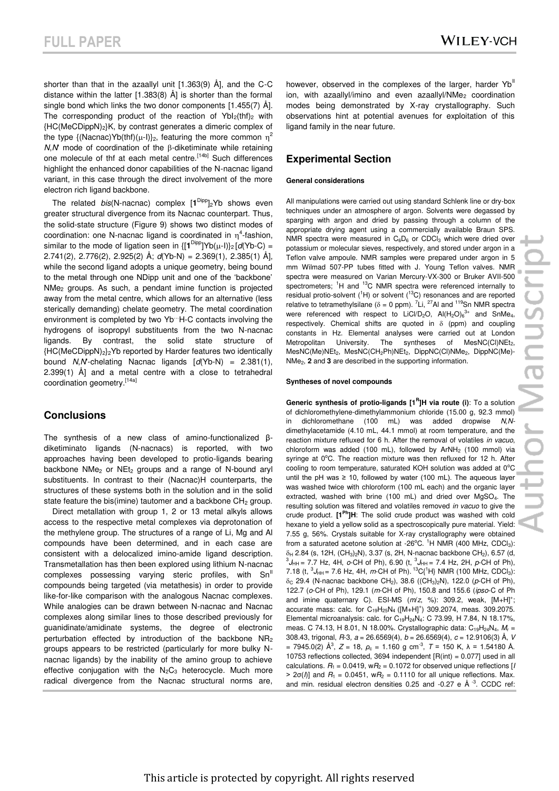shorter than that in the azaallyl unit [1.363(9) Å], and the C-C distance within the latter [1.383(8) Å] is shorter than the formal single bond which links the two donor components [1.455(7) Å]. The corresponding product of the reaction of  $YbI<sub>2</sub>(thf)<sub>2</sub>$  with  ${H}C(MeCDippN)<sub>2</sub>$ K, by contrast generates a dimeric complex of the type {(Nacnac)Yb(thf)( $\mu$ -l)}<sub>2</sub>, featuring the more common  $\eta^2$  $N$ , $N$  mode of coordination of the  $\beta$ -diketiminate while retaining one molecule of thf at each metal centre.<sup>[14b]</sup> Such differences highlight the enhanced donor capabilities of the N-nacnac ligand variant, in this case through the direct involvement of the more electron rich ligand backbone.

The related *bis*(N-nacnac) complex  $[1^{Dipp}]_2$ Yb shows even greater structural divergence from its Nacnac counterpart. Thus, the solid-state structure (Figure 9) shows two distinct modes of coordination: one N-nacnac ligand is coordinated in  $\eta^4$ -fashion, similar to the mode of ligation seen in  $\{[\mathbf{1}^{\text{Dipp}}]Yb(\mu-1)\}_2[d(Yb-C)$  = 2.741(2), 2.776(2), 2.925(2) Å; *d*(Yb-N) = 2.369(1), 2.385(1) Å], while the second ligand adopts a unique geometry, being bound to the metal through one NDipp unit and one of the 'backbone' NMe2 groups. As such, a pendant imine function is projected away from the metal centre, which allows for an alternative (less sterically demanding) chelate geometry. The metal coordination environment is completed by two Yb…H-C contacts involving the hydrogens of isopropyl substituents from the two N-nacnac ligands. By contrast, the solid state structure of {HC(MeCDippN)2}2Yb reported by Harder features two identically bound *N*,*N*'-chelating Nacnac ligands [*d*(Yb-N) = 2.381(1), 2.399(1) Å] and a metal centre with a close to tetrahedral coordination geometry.[14a]

### **Conclusions**

The synthesis of a new class of amino-functionalized βdiketiminato ligands (N-nacnacs) is reported, with two approaches having been developed to protio-ligands bearing backbone NMe<sub>2</sub> or NEt<sub>2</sub> groups and a range of N-bound aryl substituents. In contrast to their (Nacnac)H counterparts, the structures of these systems both in the solution and in the solid state feature the bis(imine) tautomer and a backbone  $CH<sub>2</sub>$  group.

Direct metallation with group 1, 2 or 13 metal alkyls allows access to the respective metal complexes via deprotonation of the methylene group. The structures of a range of Li, Mg and Al compounds have been determined, and in each case are consistent with a delocalized imino-amide ligand description. Transmetallation has then been explored using lithium N-nacnac complexes possessing varying steric profiles, with Sn<sup>ll</sup> compounds being targeted (via metathesis) in order to provide like-for-like comparison with the analogous Nacnac complexes. While analogies can be drawn between N-nacnac and Nacnac complexes along similar lines to those described previously for guanidinate/amidinate systems, the degree of electronic perturbation effected by introduction of the backbone  $NR<sub>2</sub>$ groups appears to be restricted (particularly for more bulky Nnacnac ligands) by the inability of the amino group to achieve effective conjugation with the  $N_2C_3$  heterocycle. Much more radical divergence from the Nacnac structural norms are, however, observed in the complexes of the larger, harder Yb<sup>II</sup> ion, with azaallyl/imino and even azaallyl/ $NMe<sub>2</sub>$  coordination modes being demonstrated by X-ray crystallography. Such observations hint at potential avenues for exploitation of this ligand family in the near future.

## **Experimental Section**

#### **General considerations**

All manipulations were carried out using standard Schlenk line or dry-box techniques under an atmosphere of argon. Solvents were degassed by sparging with argon and dried by passing through a column of the appropriate drying agent using a commercially available Braun SPS. NMR spectra were measured in  $C_6D_6$  or CDCl<sub>3</sub> which were dried over potassium or molecular sieves, respectively, and stored under argon in a Teflon valve ampoule. NMR samples were prepared under argon in 5 mm Wilmad 507-PP tubes fitted with J. Young Teflon valves. NMR spectra were measured on Varian Mercury-VX-300 or Bruker AVII-500 spectrometers; <sup>1</sup>H and <sup>13</sup>C NMR spectra were referenced internally to residual protio-solvent  $(^1H)$  or solvent  $(^{13}C)$  resonances and are reported relative to tetramethylsilane ( $\delta$  = 0 ppm). <sup>7</sup>Li, <sup>27</sup>Al and <sup>119</sup>Sn NMR spectra were referenced with respect to LiCl/D<sub>2</sub>O,  $Al(H_2O)_6^{3+}$  and SnMe<sub>4</sub>, respectively. Chemical shifts are quoted in  $\delta$  (ppm) and coupling constants in Hz. Elemental analyses were carried out at London Metropolitan University. The syntheses of MesNC(Cl)NEt<sub>2</sub>, MesNC(Me)NEt<sub>2</sub>, MesNC(CH<sub>2</sub>Ph)NEt<sub>2</sub>, DippNC(Cl)NMe<sub>2</sub>, DippNC(Me)-NMe2, **2** and **3** are described in the supporting information.

#### **Syntheses of novel compounds**

**Generic synthesis of protio-ligands [1<sup>R</sup>]H via route (i):** To a solution of dichloromethylene-dimethylammonium chloride (15.00 g, 92.3 mmol) dichloromethane (100 mL) was added dropwise N,Ndimethylacetamide (4.10 mL, 44.1 mmol) at room temperature, and the reaction mixture refluxed for 6 h. After the removal of volatiles *in vacuo*, chloroform was added (100 mL), followed by ArNH<sub>2</sub> (100 mmol) via syringe at 0°C. The reaction mixture was then refluxed for 12 h. After cooling to room temperature, saturated KOH solution was added at  $0^{\circ}$ C until the pH was  $\geq 10$ , followed by water (100 mL). The aqueous layer was washed twice with chloroform (100 mL each) and the organic layer extracted, washed with brine (100 mL) and dried over MgSO4. The resulting solution was filtered and volatiles removed *in vacuo* to give the crude product. **[1Ph]H**: The solid crude product was washed with cold hexane to yield a yellow solid as a spectroscopically pure material. Yield: 7.55 g, 56%. Crystals suitable for X-ray crystallography were obtained from a saturated acetone solution at -26 $^{\circ}$ C. <sup>1</sup>H NMR (400 MHz, CDCl<sub>3</sub>):  $\delta_H$  2.84 (s, 12H, (CH<sub>3</sub>)<sub>2</sub>N), 3.37 (s, 2H, N-nacnac backbone CH<sub>2</sub>), 6.57 (d,  ${}^{3}J_{HH}$  = 7.7 Hz, 4H, *o*-CH of Ph), 6.90 (t,  ${}^{3}J_{HH}$  = 7.4 Hz, 2H, *p*-CH of Ph), 7.18 (t,  ${}^{3}J_{HH}$  = 7.6 Hz, 4H, *m*-CH of Ph).  ${}^{13}C_{1}{}^{1}H$ } NMR (100 MHz, CDCl<sub>3</sub>):  $\delta$ <sub>C</sub> 29.4 (N-nacnac backbone CH<sub>2</sub>), 38.6 ((CH<sub>3</sub>)<sub>2</sub>N), 122.0 (p-CH of Ph), 122.7 (*o*-CH of Ph), 129.1 (*m*-CH of Ph), 150.8 and 155.6 (*ipso*-C of Ph and imine quaternary C). ESI-MS  $(m/z, %)$ : 309.2, weak,  $[M+H]$ <sup>+</sup>; accurate mass: calc. for  $C_{19}H_{25}N_4$  ([M+H]<sup>+</sup>) 309.2074, meas. 309.2075. Elemental microanalysis: calc. for C19H24N4: C 73.99, H 7.84, N 18.17%, meas. C 74.13, H 8.01, N 18.00%. Crystallographic data: C<sub>19</sub>H<sub>24</sub>N<sub>4</sub>, M<sub>r</sub> = 308.43, trigonal, *R*-3*, a* = 26.6569(4), *b* = 26.6569(4), *c* = 12.9106(3) Å, *V*  $= 7945.0(2)$  Å<sup>3</sup>,  $Z = 18$ ,  $\rho_c = 1.160$  g cm<sup>-3</sup>,  $T = 150$  K,  $\lambda = 1.54180$  Å. 10753 reflections collected, 3694 independent [R(int) = 0.077] used in all calculations.  $R_1 = 0.0419$ ,  $wR_2 = 0.1072$  for observed unique reflections [*I*  $> 2\sigma(h)$  and  $R_1 = 0.0451$ , w $R_2 = 0.1110$  for all unique reflections. Max. and min. residual electron densities 0.25 and -0.27 e  $\AA$   $3$ . CCDC ref: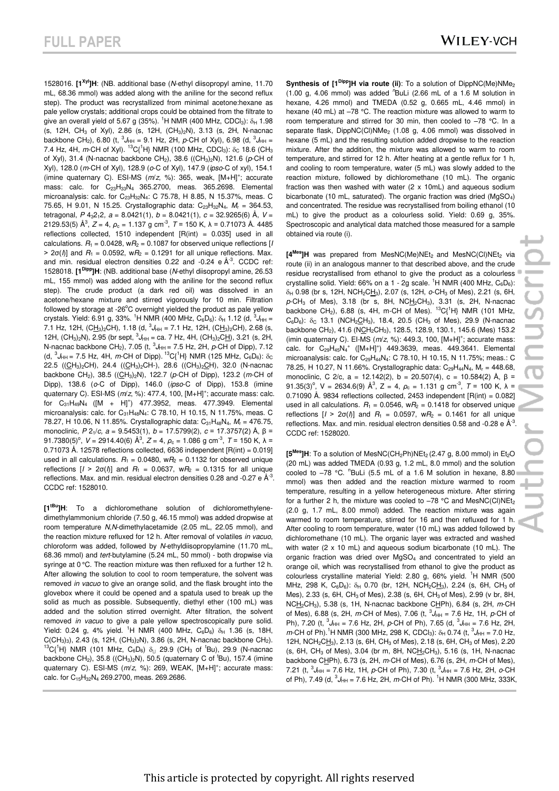1528016. **[1Xyl ]H**: (NB. additional base (*N*-ethyl diisopropyl amine, 11.70 mL, 68.36 mmol) was added along with the aniline for the second reflux step). The product was recrystallized from minimal acetone:hexane as pale yellow crystals; additional crops could be obtained from the filtrate to give an overall yield of 5.67 g (35%). <sup>1</sup>H NMR (400 MHz, CDCl<sub>3</sub>):  $\delta_H$  1.98 (s, 12H, CH<sub>3</sub> of Xyl), 2.86 (s, 12H, (CH<sub>3</sub>)<sub>2</sub>N), 3.13 (s, 2H, N-nacnac backbone CH<sub>2</sub>), 6.80 (t,  ${}^{3}J_{HH}$  = 9.1 Hz, 2H, p-CH of Xyl), 6.98 (d,  ${}^{3}J_{HH}$  = 7.4 Hz, 4H, *m*-CH of Xyl). <sup>13</sup>C{<sup>1</sup>H} NMR (100 MHz, CDCl<sub>3</sub>):  $\delta_c$  18.6 (CH<sub>3</sub> of Xyl), 31.4 (N-nacnac backbone CH<sub>2</sub>), 38.6 ((CH<sub>3</sub>)<sub>2</sub>N), 121.6 (p-CH of Xyl), 128.0 (*m*-CH of Xyl), 128.9 (*o*-C of Xyl), 147.9 (*ipso*-C of xyl), 154.1 (imine quaternary C). ESI-MS (m/z, %): 365, weak, [M+H]<sup>+</sup>; accurate mass: calc. for  $C_{23}H_{33}N_4$  365.2700, meas. 365.2698. Elemental microanalysis: calc. for C23H32N4: C 75.78, H 8.85, N 15.37%, meas. C 75.65, H 9.01, N 15.25. Crystallographic data: C23H32N4, *M*<sup>r</sup> = 364.53, tetragonal,  $P$  4<sub>3</sub>2<sub>1</sub>2,  $a = 8.0421(1)$ ,  $b = 8.0421(1)$ ,  $c = 32.9265(6)$  Å,  $V =$ 2129.53(5) Å<sup>3</sup>,  $Z = 4$ ,  $\rho_c = 1.137$  g cm<sup>-3</sup>,  $T = 150$  K,  $\lambda = 0.71073$  Å. 4485 reflections collected, 1510 independent [R(int) = 0.035] used in all calculations.  $R_1 = 0.0428$ ,  $wR_2 = 0.1087$  for observed unique reflections [*I*  $> 2\sigma(\ell)$ ] and  $R_1 = 0.0592$ , w $R_2 = 0.1291$  for all unique reflections. Max. and min. residual electron densities  $0.22$  and  $-0.24$  e  $Å^{-3}$ . CCDC ref: 1528018. **[1Dipp]H**: (NB. additional base (*N*-ethyl diisopropyl amine, 26.53 mL, 155 mmol) was added along with the aniline for the second reflux step). The crude product (a dark red oil) was dissolved in an acetone/hexane mixture and stirred vigorously for 10 min. Filtration followed by storage at -26 $^{\circ}$ C overnight yielded the product as pale yellow crystals. Yield: 6.91 g, 33%. <sup>1</sup>H NMR (400 MHz, C<sub>6</sub>D<sub>6</sub>): δ<sub>H</sub> 1.12 (d, <sup>3</sup>J<sub>HH</sub> = 7.1 Hz, 12H, (C<u>H<sub>3</sub>)</u><sub>2</sub>CH), 1.18 (d, <sup>3</sup>J<sub>HH</sub> = 7.1 Hz, 12H, (C<u>H<sub>3</sub>)</u><sub>2</sub>CH), 2.68 (s, 12H, (CH<sub>3</sub>)<sub>2</sub>N), 2.95 (br sept,  ${}^{3}J_{HH}$  = ca. 7 Hz, 4H, (CH<sub>3</sub>)<sub>2</sub>CH), 3.21 (s, 2H, N-nacnac backbone CH<sub>2</sub>), 7.05 (t,  ${}^{3}$ J<sub>HH</sub> = 7.5 Hz, 2H, p-CH of Dipp), 7.12 (d,  ${}^{3}J_{HH}$  = 7.5 Hz, 4H, *m*-CH of Dipp). <sup>13</sup>C{<sup>1</sup>H} NMR (125 MHz, C<sub>6</sub>D<sub>6</sub>):  $\delta_{\rm C}$ 22.5 ((CH<sub>3</sub>)<sub>2</sub>CH), 24.4 ((CH<sub>3</sub>)<sub>2</sub>CH-), 28.6 ((CH<sub>3</sub>)<sub>2</sub>CH), 32.0 (N-nacnac backbone CH2), 38.5 ((CH3)2N), 122.7 (*p*-CH of Dipp), 123.2 (*m*-CH of Dipp), 138.6 (*o*-C of Dipp), 146.0 (*ipso*-C of Dipp), 153.8 (imine quaternary C). ESI-MS ( $m/z$ , %): 477.4, 100, [M+H]<sup>+</sup>; accurate mass: calc. for  $C_{31}H_{49}N_4$  ( $[M + H]^+$ ) 477.3952, meas. 477.3949. Elemental microanalysis: calc. for  $C_{31}H_{48}N_4$ : C 78.10, H 10.15, N 11.75%, meas. C 78.27, H 10.06, N 11.85%. Crystallographic data: C<sub>31</sub>H<sub>48</sub>N<sub>4</sub>, M<sub>r</sub> = 476.75, monoclinic, *P* 21/*c, a* = 9.5453(1), *b* = 17.5799(2), *c* = 17.3757(2) Å, β = 91.7380(5)<sup>o</sup>, *V* = 2914.40(6) Å<sup>3</sup>, *Z* = 4, *ρ*<sub>c</sub> = 1.086 g cm<sup>-3</sup>, *T* = 150 K, λ = 0.71073 Å. 12578 reflections collected, 6636 independent [R(int) = 0.019] used in all calculations.  $R_1 = 0.0480$ ,  $wR_2 = 0.1132$  for observed unique reflections  $[I > 2\sigma(I)]$  and  $R_1 = 0.0637$ ,  $wR_2 = 0.1315$  for all unique reflections. Max. and min. residual electron densities 0.28 and -0.27 e  $\AA$ <sup>-3</sup>. CCDC ref: 1528010.

**[1tBu]H**: To a dichloromethane solution of dichloromethylenedimethylammonium chloride (7.50 g, 46.15 mmol) was added dropwise at room temperature *N*,*N*-dimethylacetamide (2.05 mL, 22.05 mmol), and the reaction mixture refluxed for 12 h. After removal of volatiles *in vacuo*, chloroform was added, followed by *N*-ethyldiisopropylamine (11.70 mL, 68.36 mmol) and *tert*-butylamine (5.24 mL, 50 mmol) - both dropwise via syringe at 0 °C. The reaction mixture was then refluxed for a further 12 h. After allowing the solution to cool to room temperature, the solvent was removed *in vacuo* to give an orange solid, and the flask brought into the glovebox where it could be opened and a spatula used to break up the solid as much as possible. Subsequently, diethyl ether (100 mL) was added and the solution stirred overnight. After filtration, the solvent removed *in vacuo* to give a pale yellow spectroscopically pure solid. Yield: 0.24 g, 4% yield. <sup>1</sup>H NMR (400 MHz,  $C_6D_6$ )  $\delta_H$  1.36 (s, 18H,  $C(CH_3)_3$ , 2.43 (s, 12H,  $(CH_3)_2N$ ), 3.86 (s, 2H, N-nacnac backbone  $CH_2$ ).  ${}^{13}C(^{1}H)$  NMR (101 MHz, C<sub>6</sub>D<sub>6</sub>)  $\delta_{\Box}$  29.9 (CH<sub>3</sub> of <sup>t</sup>Bu), 29.9 (N-nacnac backbone CH<sub>2</sub>), 35.8 ((CH<sub>3</sub>)<sub>2</sub>N), 50.5 (quaternary C of <sup>t</sup>Bu), 157.4 (imine quaternary C). ESI-MS (m/z, %): 269, WEAK, [M+H]<sup>+</sup>; accurate mass: calc. for C<sub>15</sub>H<sub>32</sub>N<sub>4</sub> 269.2700, meas. 269.2686.

**Synthesis of**  $[1^{Dipp}]H$  **via route (ii):** To a solution of DippNC(Me)NMe<sub>2</sub> (1.00 g, 4.06 mmol) was added *<sup>n</sup>*BuLi (2.66 mL of a 1.6 M solution in hexane, 4.26 mmol) and TMEDA (0.52 g, 0.665 mL, 4.46 mmol) in hexane (40 mL) at  $-78$  °C. The reaction mixture was allowed to warm to room temperature and stirred for 30 min, then cooled to –78 °C. In a separate flask, DippNC(Cl)NMe<sub>2</sub> (1.08 g, 4.06 mmol) was dissolved in hexane (5 mL) and the resulting solution added dropwise to the reaction mixture. After the addition, the mixture was allowed to warm to room temperature, and stirred for 12 h. After heating at a gentle reflux for 1 h, and cooling to room temperature, water (5 mL) was slowly added to the reaction mixture, followed by dichloromethane (10 mL). The organic fraction was then washed with water (2 x 10mL) and aqueous sodium bicarbonate (10 mL, saturated). The organic fraction was dried ( $MqSO<sub>4</sub>$ ) and concentrated. The residue was recrystallised from boiling ethanol (10 mL) to give the product as a colourless solid. Yield: 0.69 g, 35%. Spectroscopic and analytical data matched those measured for a sample obtained via route (i).

[4<sup>Mes</sup>]H was prepared from MesNC(Me)NEt<sub>2</sub> and MesNC(Cl)NEt<sub>2</sub> via route (ii) in an analogous manner to that described above, and the crude residue recrystallised from ethanol to give the product as a colourless crystalline solid. Yield: 66% on a 1 - 2g scale. <sup>1</sup>H NMR (400 MHz,  $C_6D_6$ ):  $\delta_H$  0.98 (br s, 12H, NCH<sub>2</sub>CH<sub>3</sub>), 2.07 (s, 12H,  $o$ -CH<sub>3</sub> of Mes), 2.21 (s, 6H, *p*-CH3 of Mes), 3.18 (br s, 8H, NCH2CH3), 3.31 (s, 2H, N-nacnac backbone CH<sub>2</sub>), 6.88 (s, 4H, m-CH of Mes). <sup>13</sup>C{<sup>1</sup>H} NMR (101 MHz,  $C_6D_6$ ):  $\delta_c$  13.1 (NCH<sub>2</sub>CH<sub>3</sub>), 18.4, 20.5 (CH<sub>3</sub> of Mes), 29.9 (N-nacnac backbone CH<sub>2</sub>), 41.6 (NCH<sub>2</sub>CH<sub>3</sub>), 128.5, 128.9, 130.1, 145.6 (Mes) 153.2 (imin quaternary C). EI-MS ( $m/z$ , %): 449.3, 100, [M+H]<sup>+</sup>; accurate mass: calc. for  $C_{29}H_{45}N_4^+$  ([M+H]<sup>+</sup>) 449.3639, meas. 449.3641. Elemental microanalysis: calc. for C<sub>29</sub>H<sub>44</sub>N<sub>4</sub>: C 78.10, H 10.15, N 11.75%; meas.: C 78.25, H 10.27, N 11.66%. Crystallographic data: C<sub>29</sub>H<sub>44</sub>N<sub>4</sub>, M<sub>r</sub> = 448.68, monoclinic, C 2/c, a = 12.142(2), b = 20.507(4), c = 10.584(2) Å, β = 91.35(3)<sup>o</sup>, V = 2634.6(9)  $\mathring{A}^3$ , Z = 4,  $\rho_c$  = 1.131 g cm<sup>-3</sup>, T = 100 K,  $\lambda$  = 0.71090 Å. 9834 reflections collected, 2453 independent  $[R(int) = 0.082]$ used in all calculations.  $R_1 = 0.0546$ ,  $wR_2 = 0.1418$  for observed unique reflections  $[I > 2\sigma(I)]$  and  $R_1 = 0.0597$ ,  $wR_2 = 0.1461$  for all unique reflections. Max. and min. residual electron densities 0.58 and -0.28 e  $\AA$ <sup>-3</sup>. CCDC ref: 1528020.

 $[5^{Mes}]$ H: To a solution of MesNC(CH<sub>2</sub>Ph)NEt<sub>2</sub> (2.47 g, 8.00 mmol) in Et<sub>2</sub>O (20 mL) was added TMEDA (0.93 g, 1.2 mL, 8.0 mmol) and the solution cooled to  $-78$  °C.  $n$ BuLi (5.5 mL of a 1.6 M solution in hexane, 8.80 mmol) was then added and the reaction mixture warmed to room temperature, resulting in a yellow heterogeneous mixture. After stirring for a further 2 h, the mixture was cooled to  $-78$  °C and MesNC(Cl)NEt<sub>2</sub> (2.0 g, 1.7 mL, 8.00 mmol) added. The reaction mixture was again warmed to room temperature, stirred for 16 and then refluxed for 1 h. After cooling to room temperature, water (10 mL) was added followed by dichloromethane (10 mL). The organic layer was extracted and washed with water (2 x 10 mL) and aqueous sodium bicarbonate (10 mL). The organic fraction was dried over MgSO<sub>4</sub> and concentrated to yield an orange oil, which was recrystallised from ethanol to give the product as colourless crystalline material Yield: 2.80 g, 66% yield. <sup>1</sup>H NMR (500 MHz, 298 K,  $C_6D_6$ ):  $\delta_H$  0.70 (br, 12H, NCH<sub>2</sub>CH<sub>3</sub>), 2.24 (s, 6H, CH<sub>3</sub> of Mes), 2.33 (s, 6H, CH<sup>3</sup> of Mes), 2.38 (s, 6H, CH<sup>3</sup> of Mes), 2.99 (v br, 8H, NCH2CH3), 5.38 (s, 1H, N-nacnac backbone CHPh), 6.84 (s, 2H, *m*-CH of Mes), 6.88 (s, 2H, *m*-CH of Mes), 7.06 (t,  ${}^{3}J_{HH} = 7.6$  Hz, 1H, *p*-CH of Ph), 7.20 (t,  ${}^{3}J_{HH}$  = 7.6 Hz, 2H, p-CH of Ph), 7.65 (d,  ${}^{3}J_{HH}$  = 7.6 Hz, 2H, *m*-CH of Ph).<sup>1</sup>H NMR (300 MHz, 298 K, CDCl<sub>3</sub>): δ<sub>H</sub> 0.74 (t, <sup>3</sup>J<sub>HH</sub> = 7.0 Hz, 12H, NCH<sub>2</sub>CH<sub>3</sub>), 2.13 (s, 6H, CH<sub>3</sub> of Mes), 2.18 (s, 6H, CH<sub>3</sub> of Mes), 2.20 (s, 6H, CH<sub>3</sub> of Mes), 3.04 (br m, 8H, NCH<sub>2</sub>CH<sub>3</sub>), 5.16 (s, 1H, N-nacnac backbone CHPh), 6.73 (s, 2H, *m*-CH of Mes), 6.76 (s, 2H, *m*-CH of Mes), 7.21 (t,  ${}^{3}J_{HH}$  = 7.6 Hz, 1H, *p*-CH of Ph), 7.30 (t,  ${}^{3}J_{HH}$  = 7.6 Hz, 2H, *o*-CH of Ph), 7.49 (d,  ${}^{3}J_{HH}$  = 7.6 Hz, 2H, *m*-CH of Ph). <sup>1</sup>H NMR (300 MHz, 333K,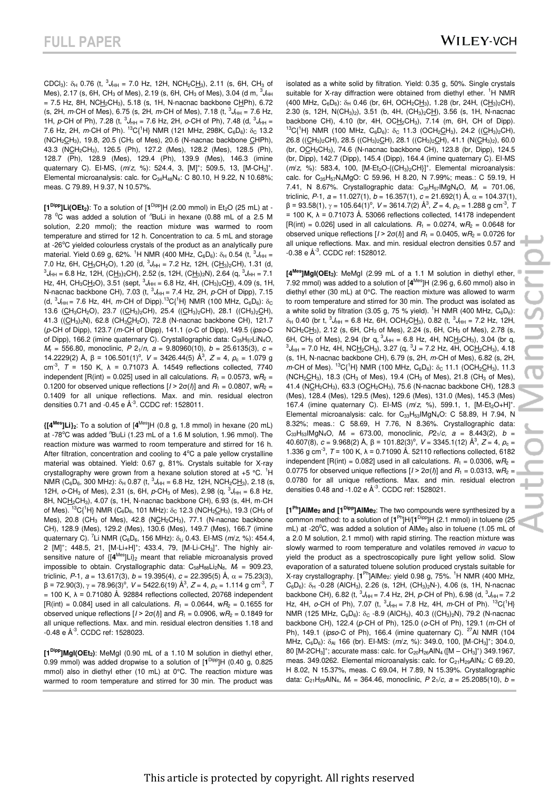CDCl<sub>3</sub>):  $\delta_H$  0.76 (t,  ${}^3J_{HH}$  = 7.0 Hz, 12H, NCH<sub>2</sub>CH<sub>3</sub>), 2.11 (s, 6H, CH<sub>3</sub> of Mes), 2.17 (s, 6H, CH<sub>3</sub> of Mes), 2.19 (s, 6H, CH<sub>3</sub> of Mes), 3.04 (d m,  $^3J_{\rm{HH}}$  $= 7.5$  Hz, 8H, NCH<sub>2</sub>CH<sub>3</sub>), 5.18 (s, 1H, N-nacnac backbone CHPh), 6.72  $(s, 2H, m\text{-CH of Mes})$ , 6.75  $(s, 2H, m\text{-CH of Mes})$ , 7.18  $(t, \frac{3J_{HH}}{s})$  = 7.6 Hz, 1H, *p*-CH of Ph), 7.28 (t,  ${}^{3}J_{HH} = 7.6$  Hz, 2H, *o*-CH of Ph), 7.48 (d,  ${}^{3}J_{HH} =$ 7.6 Hz, 2H, *m*-CH of Ph). <sup>13</sup>C{<sup>1</sup>H} NMR (121 MHz, 298K, C<sub>6</sub>D<sub>6</sub>):  $\delta_c$  13.2  $(NCH<sub>2</sub>CH<sub>3</sub>), 19.8, 20.5 (CH<sub>3</sub> of Mes), 20.6 (N-nacnac backbone CHPh),$ 43.3 (NCH2CH3), 126.5 (Ph), 127.2 (Mes), 128.2 (Mes), 128.5 (Ph), 128.7 (Ph), 128.9 (Mes), 129.4 (Ph), 139.9 (Mes), 146.3 (imine quaternary C). EI-MS,  $(m/z, %)$ : 524.4, 3, [M]<sup>+</sup>; 509.5, 13, [M-CH<sub>3</sub>]<sup>+</sup>. Elemental microanalysis: calc. for  $C_{34}H_{48}N_4$ : C 80.10, H 9.22, N 10.68%; meas. C 79.89, H 9.37, N 10.57%.

**[1Dipp]Li(OEt2)**: To a solution of [**1** Dipp]H (2.00 mmol) in Et2O (25 mL) at - 78 <sup>o</sup>C was added a solution of "BuLi in hexane (0.88 mL of a 2.5 M solution, 2.20 mmol); the reaction mixture was warmed to room temperature and stirred for 12 h. Concentration to *ca.* 5 mL and storage at -26°C yielded colourless crystals of the product as an analytically pure material. Yield 0.69 g, 62%. <sup>1</sup>H NMR (400 MHz, C<sub>6</sub>D<sub>6</sub>):  $\delta_H$  0.54 (t,  ${}^3J_{HH}$  = 7.0 Hz, 6H, CH<sub>3</sub>CH<sub>2</sub>O), 1.20 (d, <sup>3</sup>J<sub>HH</sub> = 7.2 Hz, 12H, (C<u>H<sub>3</sub>)</u><sub>2</sub>CH), 1.31 (d,  $^3J_{\rm{HH}}$  = 6.8 Hz, 12H, (C<u>H<sub>3</sub>)2</u>CH), 2.52 (s, 12H, (C<u>H<sub>3</sub>)2</sub>N), 2.64 (q,  $^3J_{\rm{HH}}$  = 7.1</u> Hz, 4H, CH<sub>3</sub>C<u>H</u><sub>2</sub>O), 3.51 (sept,  ${}^{3}J_{HH}$  = 6.8 Hz, 4H, (CH<sub>3</sub>)<sub>2</sub>C<u>H</u>), 4.09 (s, 1H, N-nacnac backbone CH), 7.03 (t,  ${}^{3}J_{HH} = 7.4$  Hz, 2H, *p*-CH of Dipp), 7.15 (d,  ${}^{3}J_{HH}$  = 7.6 Hz, 4H, *m*-CH of Dipp).<sup>13</sup>C{<sup>1</sup>H} NMR (100 MHz, C<sub>6</sub>D<sub>6</sub>):  $\delta_{\rm C}$ 13.6 (CH<sub>3</sub>CH<sub>2</sub>O), 23.7 ((CH<sub>3</sub>)<sub>2</sub>CH), 25.4 ((CH<sub>3</sub>)<sub>2</sub>CH), 28.1 ((CH<sub>3</sub>)<sub>2</sub>CH), 41.3 ((CH<sub>3</sub>)<sub>2</sub>N), 62.8 (CH<sub>3</sub>CH<sub>2</sub>O), 72.8 (N-nacnac backbone CH), 121.7 (*p*-CH of Dipp), 123.7 (*m*-CH of Dipp), 141.1 (*o*-C of Dipp), 149.5 (*ipso*-C of Dipp), 166.2 (imine quaternary C). Crystallographic data:  $C_{35}H_{57}LiN_4O$ , *M*r = 556.80, monoclinic, *P* 21/*n, a* = 9.80960(10), *b* = 25.6135(3), *c* = 14.2229(2) Å,  $β = 106.501(1)°$ ,  $V = 3426.44(5)$  Å<sup>3</sup>,  $Z = 4$ ,  $ρ<sub>c</sub> = 1.079$  g cm-3 , *T* = 150 K, λ = 0.71073 Å. 14549 reflections collected, 7740 independent  $[R(int) = 0.025]$  used in all calculations.  $R_1 = 0.0573$ ,  $wR_2 =$ 0.1200 for observed unique reflections  $[1 > 2\sigma(\ell)]$  and  $R_1 = 0.0807$ ,  $wR_2 =$ 0.1409 for all unique reflections. Max. and min. residual electron densities 0.71 and -0.45 e Å-3. CCDC ref: 1528011.

**{[4Mes]Li}2**: To a solution of [**4** Mes]H (0.8 g, 1.8 mmol) in hexane (20 mL) at -78°C was added <sup>*n*</sup>BuLi (1.23 mL of a 1.6 M solution, 1.96 mmol). The reaction mixture was warmed to room temperature and stirred for 16 h. After filtration, concentration and cooling to  $4^{\circ}$ C a pale yellow crystalline material was obtained. Yield: 0.67 g, 81%. Crystals suitable for X-ray crystallography were grown from a hexane solution stored at  $+5$  °C. <sup>1</sup>H NMR (C<sub>6</sub>D<sub>6</sub>, 300 MHz):  $\delta_H$  0.87 (t,  ${}^3J_{HH}$  = 6.8 Hz, 12H, NCH<sub>2</sub>CH<sub>3</sub>), 2.18 (s, 12H,  $o$ -CH<sub>3</sub> of Mes), 2.31 (s, 6H,  $p$ -CH<sub>3</sub> of Mes), 2.98 (q,  $^3J_{HH} = 6.8$  Hz, 8H, NCH2CH3), 4.07 (s, 1H, N-nacnac backbone CH), 6.93 (s, 4H, m-CH of Mes).  ${}^{13}C_1{}^{1}H$  NMR (C<sub>6</sub>D<sub>6</sub>, 101 MHz):  $\delta_c$  12.3 (NCH<sub>2</sub>CH<sub>3</sub>), 19.3 (CH<sub>3</sub> of Mes), 20.8 (CH<sub>3</sub> of Mes), 42.8 (NCH<sub>2</sub>CH<sub>3</sub>), 77.1 (N-nacnac backbone CH), 128.9 (Mes), 129.2 (Mes), 130.6 (Mes), 149.7 (Mes), 166.7 (imine quaternary C). <sup>7</sup>Li NMR (C<sub>6</sub>D<sub>6</sub>, 156 MHz): δ<sub>Li</sub> 0.43. EI-MS (*m/z*, %): 454.4, 2 [M]<sup>+</sup>; 448.5, 21, [M-Li+H]<sup>+</sup>; 433.4, 79, [M-Li-CH<sub>3</sub>]<sup>+</sup>. The highly airsensitive nature of {[**4** Mes]Li}2 meant that reliable microanalysis proved impossible to obtain. Crystallographic data: C<sub>58</sub>H<sub>88</sub>Li<sub>2</sub>N<sub>8</sub>, M<sub>r</sub> = 909.23, triclinic,  $P-1$ ,  $a = 13.617(3)$ ,  $b = 19.395(4)$ ,  $c = 22.395(5)$  Å,  $\alpha = 75.23(3)$ , β = 72.90(3), γ = 78.96(3)<sup>o</sup>, V = 5422.6(19) Å<sup>3</sup>, Z = 4,  $\rho_c$  = 1.114 g cm<sup>-3</sup>, 7  $= 100$  K,  $\lambda = 0.71080$  Å. 92884 reflections collected, 20768 independent  $[R(int) = 0.084]$  used in all calculations.  $R_1 = 0.0644$ ,  $wR_2 = 0.1655$  for observed unique reflections  $[I > 2\sigma(I)]$  and  $R_1 = 0.0906$ , w $R_2 = 0.1849$  for all unique reflections. Max. and min. residual electron densities 1.18 and -0.48 e Å-3. CCDC ref: 1528023.

**[1Dipp]MgI(OEt2)**: MeMgI (0.90 mL of a 1.10 M solution in diethyl ether, 0.99 mmol) was added dropwise to a solution of [**1** Dipp]H (0.40 g, 0.825 mmol) also in diethyl ether (10 mL) at 0°C. The reaction mixture was warmed to room temperature and stirred for 30 min. The product was

isolated as a white solid by filtration. Yield: 0.35 g, 50%. Single crystals suitable for X-ray diffraction were obtained from diethyl ether. <sup>1</sup>H NMR (400 MHz,  $C_6D_6$ ):  $\delta_H$  0.46 (br, 6H, OCH<sub>2</sub>CH<sub>3</sub>), 1.28 (br, 24H, (CH<sub>3</sub>)<sub>2</sub>CH), 2.30 (s, 12H, N(CH<sub>3</sub>)<sub>2</sub>), 3.51 (b, 4H, (CH<sub>3</sub>)<sub>2</sub>CH), 3.56 (s, 1H, N-nacnac backbone CH),  $4.10$  (br,  $4H$ , OCH<sub>2</sub>CH<sub>3</sub>),  $7.14$  (m,  $6H$ , CH of Dipp).  ${}^{13}C[{^1}H]$  NMR (100 MHz,  $C_6D_6$ ):  $\delta_C$  11.3 (OCH<sub>2</sub>CH<sub>3</sub>), 24.2 ((CH<sub>3</sub>)<sub>2</sub>CH), 26.8 ((CH3)2CH), 28.5 ((CH3)2CH), 28.1 ((CH3)2CH), 41.1 (N(CH3)2), 60.0 (br, OCH<sub>2</sub>CH<sub>3</sub>), 74.6 (N-nacnac backbone CH), 123.8 (br, Dipp), 124.5 (br, Dipp), 142.7 (Dipp), 145.4 (Dipp), 164.4 (imine quaternary C). EI-MS ( $m/z$ , %): 583.4, 100, [M-Et<sub>2</sub>O-{(CH<sub>3</sub>)<sub>2</sub>CH}]<sup>+</sup>. Elemental microanalysis: calc. for C35H57N4MgO: C 59.96, H 8.20, N 7.99%; meas.: C 59.19, H 7.41, N 8.67%. Crystallographic data: C35H57IMgN4O, *M*<sup>r</sup> = 701.06, triclinic,  $P-1$ ,  $a = 11.027(1)$ ,  $b = 16.357(1)$ ,  $c = 21.692(1)$  Å,  $\alpha = 104.37(1)$ ,  $β = 93.58(1), γ = 105.64(1)°$ , *V* = 3614.7(2) Å<sup>3</sup>, *Z* = 4, *ρ*<sub>c</sub> = 1.288 g cm<sup>-3</sup>, *T* = 100 K, λ = 0.71073 Å. 53066 reflections collected, 14178 independent  $[R(int) = 0.026]$  used in all calculations.  $R_1 = 0.0274$ ,  $wR_2 = 0.0648$  for observed unique reflections  $[I > 2\sigma(I)]$  and  $R_1 = 0.0405$ , w $R_2 = 0.0726$  for all unique reflections. Max. and min. residual electron densities 0.57 and -0.38 e Å-3. CCDC ref: 1528012.

**[4Mes]MgI(OEt2)**: MeMgI (2.99 mL of a 1.1 M solution in diethyl ether, 7.92 mmol) was added to a solution of [**4** Mes]H (2.96 g, 6.60 mmol) also in diethyl ether (30 mL) at 0°C. The reaction mixture was allowed to warm to room temperature and stirred for 30 min. The product was isolated as a white solid by filtration (3.05 g, 75 % yield). <sup>1</sup>H NMR (400 MHz,  $C_6D_6$ ):  $\delta_H$  0.40 (br t,  ${}^3J_{HH} = 6.8$  Hz, 6H, OCH<sub>2</sub>CH<sub>3</sub>), 0.82 (t,  ${}^3J_{HH} = 7.2$  Hz, 12H, NCH<sub>2</sub>CH<sub>3</sub>), 2.12 (s, 6H, CH<sub>3</sub> of Mes), 2.24 (s, 6H, CH<sub>3</sub> of Mes), 2.78 (s, 6H, CH<sub>3</sub> of Mes), 2.94 (br q,  ${}^{3}J_{HH}$  = 6.8 Hz, 4H, NCH<sub>2</sub>CH<sub>3</sub>), 3.04 (br q,  ${}^{3}J_{HH}$  = 7.0 Hz, 4H, NC<u>H</u><sub>2</sub>CH<sub>3</sub>), 3.27 (q, <sup>3</sup>J = 7.2 Hz, 4H, OC<u>H</u><sub>2</sub>CH<sub>3</sub>), 4.18 (s, 1H, N-nacnac backbone CH), 6.79 (s, 2H, *m*-CH of Mes), 6.82 (s, 2H, *m*-CH of Mes). <sup>13</sup>C{<sup>1</sup>H} NMR (100 MHz, C<sub>6</sub>D<sub>6</sub>):  $\delta$ <sub>C</sub> 11.1 (OCH<sub>2</sub>CH<sub>3</sub>), 11.3  $(NCH_2CH_3)$ , 18.3  $(CH_3$  of Mes), 19.4  $(CH_3$  of Mes), 21.8  $(CH_3$  of Mes), 41.4 (NCH<sub>2</sub>CH<sub>3</sub>), 63.3 (OCH<sub>2</sub>CH<sub>3</sub>), 75.6 (N-nacnac backbone CH), 128.3 (Mes), 128.4 (Mes), 129.5 (Mes), 129.6 (Mes), 131.0 (Mes), 145.3 (Mes) 167.4 (imine quaternary C). EI-MS (m/z, %), 599.1, 1, [M-Et<sub>2</sub>O+H]<sup>+</sup>. Elemental microanalysis: calc. for C<sub>33</sub>H<sub>53</sub>IMgN<sub>4</sub>O: C 58.89, H 7.94, N 8.32%; meas.: C 58.69, H 7.76, N 8.36%. Crystallographic data: C33H53IMgN4O, *M*<sup>r</sup> = 673.00, monoclinic, *P*21/*c, a* = 8.443(2), *b* =  $40.607(8)$ ,  $c = 9.968(2)$  Å,  $\beta = 101.82(3)$ <sup>o</sup>,  $V = 3345.1(12)$  Å<sup>3</sup>,  $Z = 4$ ,  $\rho_c =$ 1.336 g cm-3 , *T* = 100 K, λ = 0.71090 Å. 52110 reflections collected, 6182 independent  $[ R(int) = 0.082]$  used in all calculations.  $R_1 = 0.0306$ ,  $wR_2 =$ 0.0775 for observed unique reflections  $[1 > 2\sigma(\ell)]$  and  $R_1 = 0.0313$ , w $R_2 =$ 0.0780 for all unique reflections. Max. and min. residual electron densities 0.48 and -1.02 e Å-3. CCDC ref: 1528021.

**[1Ph]AlMe2 and [1Dipp]AlMe2**: The two compounds were synthesized by a common method: to a solution of  $[1^{Ph}]H/[1^{Dipp}]H$  (2.1 mmol) in toluene (25 mL) at -20 $\mathrm{^{0}C}$ , was added a solution of AlMe<sub>3</sub> also in toluene (1.05 mL of a 2.0 M solution, 2.1 mmol) with rapid stirring. The reaction mixture was slowly warmed to room temperature and volatiles removed *in vacuo* to yield the product as a spectroscopically pure light yellow solid. Slow evaporation of a saturated toluene solution produced crystals suitable for X-ray crystallography. [1<sup>Ph</sup>]AlMe<sub>2</sub>: yield 0.98 g, 75%. <sup>1</sup>H NMR (400 MHz,  $C_6D_6$ :  $\delta_H$  -0.28 (AlCH<sub>3</sub>), 2.26 (s, 12H, (CH<sub>3</sub>)<sub>2</sub>N-), 4.06 (s, 1H, N-nacnac backbone CH), 6.82 (t,  ${}^{3}J_{HH}$  = 7.4 Hz, 2H, p-CH of Ph), 6.98 (d,  ${}^{3}J_{HH}$  = 7.2 Hz, 4H, *o*-CH of Ph), 7.07 (t,  ${}^{3}J_{HH}$  = 7.8 Hz, 4H, *m*-CH of Ph).  ${}^{13}C_{1}{}^{1}H$ NMR (125 MHz,  $C_6D_6$ ):  $\delta_c$  -8.9 (AlCH<sub>3</sub>), 40.3 ((CH<sub>3</sub>)<sub>2</sub>N), 79.2 (N-nacnac backbone CH), 122.4 (*p*-CH of Ph), 125.0 (*o*-CH of Ph), 129.1 (*m*-CH of Ph), 149.1 (*ipso*-C of Ph), 166.4 (imine quaternary C). <sup>27</sup>Al NMR (104 MHz, C<sub>6</sub>D<sub>6</sub>): δ<sub>Al</sub> 166 (br). EI-MS: (*m*/z, %): 349.0, 100, [M-CH<sub>3</sub>]<sup>+</sup>; 304.0, 80 [M-2CH<sub>3</sub>]<sup>+</sup>; accurate mass: calc. for C<sub>20</sub>H<sub>26</sub>AlN<sub>4</sub> ([M – CH<sub>3</sub>]<sup>+</sup>) 349.1967, meas. 349.0262. Elemental microanalysis: calc. for C<sub>21</sub>H<sub>29</sub>AlN<sub>4</sub>: C 69.20, H 8.02, N 15.37%, meas. C 69.04, H 7.89, N 15.39%. Crystallographic data: C21H29AlN4, *M*r = 364.46, monoclinic, *P* 21/*c, a* = 25.2085(10), *b* =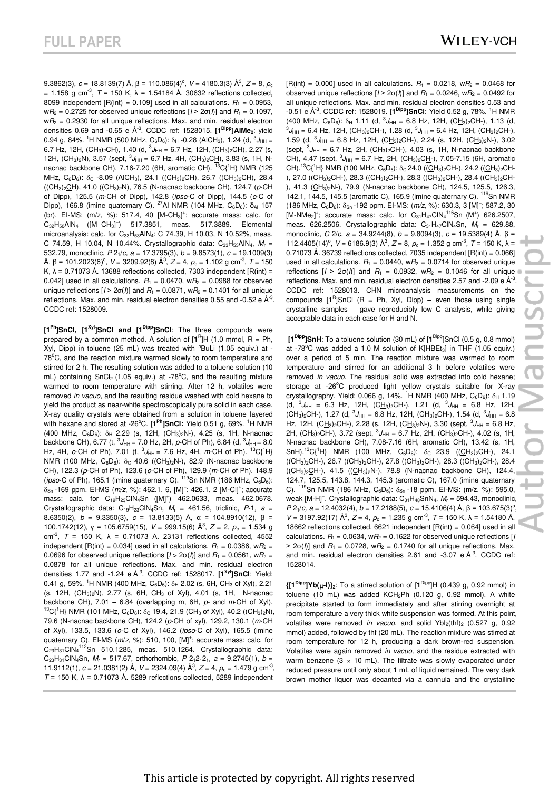9.3862(3),  $c = 18.8139(7)$  Å,  $β = 110.086(4)<sup>o</sup>$ ,  $V = 4180.3(3)$  Å<sup>3</sup>,  $Z = 8$ ,  $ρ_c$ = 1.158 g cm<sup>-3</sup>,  $T = 150$  K,  $λ = 1.54184$  Å. 30632 reflections collected, 8099 independent  $[R(int) = 0.109]$  used in all calculations.  $R_1 = 0.0953$ ,  $wP_2 = 0.2725$  for observed unique reflections  $[1 > 2\sigma(\Lambda)]$  and  $R_1 = 0.1097$ ,  $wP_2$  = 0.2930 for all unique reflections. Max. and min. residual electron densities 0.69 and -0.65 e Å-3. CCDC ref: 1528015. **[1Dipp]AlMe2**: yield 0.94 g, 84%. <sup>1</sup>H NMR (500 MHz, C<sub>6</sub>D<sub>6</sub>):  $\delta_H$  -0.28 (AlCH<sub>3</sub>), 1.24 (d,  $\delta_{HH}$  = 6.7 Hz, 12H, (C<u>H<sub>3</sub>)</u><sub>2</sub>CH), 1.40 (d, <sup>3</sup>J<sub>HH</sub> = 6.7 Hz, 12H, (C<u>H<sub>3</sub>)</u><sub>2</sub>CH), 2.27 (s, 12H, (CH<sub>3</sub>)<sub>2</sub>N), 3.57 (sept,  ${}^{3}J_{HH}$  = 6.7 Hz, 4H, (CH<sub>3</sub>)<sub>2</sub>CH), 3.83 (s, 1H, Nnacnac backbone CH), 7.16-7.20 (6H, aromatic CH). <sup>13</sup>C{<sup>1</sup>H} NMR (125 MHz,  $C_6D_6$ ):  $\delta_C$  -8.09 (AICH<sub>3</sub>), 24.1 ((CH<sub>3</sub>)<sub>2</sub>CH), 26.7 ((CH<sub>3</sub>)<sub>2</sub>CH), 28.4 ((CH3)2CH), 41.0 ((CH3)2N), 76.5 (N-nacnac backbone CH), 124.7 (*p*-CH of Dipp), 125.5 (*m*-CH of Dipp), 142.8 (*ipso*-C of Dipp), 144.5 (*o*-C of Dipp), 166.8 (imine quaternary C). <sup>27</sup>Al NMR (104 MHz, C<sub>6</sub>D<sub>6</sub>): δ<sub>Al</sub> 157 (br). EI-MS:  $(m/z, %)$ : 517.4, 40  $[M-CH<sub>3</sub>]<sup>+</sup>$ ; accurate mass: calc. for C<sub>32</sub>H<sub>50</sub>AlN<sub>4</sub> ([M-CH<sub>3</sub>]<sup>+</sup>) 517.3851, meas. 517.3889. Elemental microanalysis: calc. for  $C_{33}H_{53}AlN_4$ : C 74.39, H 10.03, N 10.52%, meas. C 74.59, H 10.04, N 10.44%. Crystallographic data: C<sub>33</sub>H<sub>53</sub>AlN<sub>4</sub>, *M<sub>r</sub>* = 532.79, monoclinic, *P* 21/*c, a* = 17.3795(3), *b* = 9.8573(1), *c* = 19.1009(3) Å, β = 101.2023(6)<sup>o</sup>, *V* = 3209.92(8) Å<sup>3</sup>, *Z* = 4, *ρ*<sub>c</sub> = 1.102 g cm<sup>-3</sup>, *T* = 150 K,  $\lambda$  = 0.71073 Å. 13688 reflections collected, 7303 independent [R(int) = 0.042] used in all calculations.  $R_1 = 0.0470$ ,  $wR_2 = 0.0988$  for observed unique reflections  $[I > 2\sigma(I)]$  and  $R_1 = 0.0871$ ,  $wR_2 = 0.1401$  for all unique reflections. Max. and min. residual electron densities 0.55 and -0.52 e  $\AA$ <sup>-3</sup>. CCDC ref: 1528009.

**[1Ph]SnCl, [1Xyl]SnCl and [1Dipp]SnCl**: The three compounds were prepared by a common method. A solution of  $[1^R]H$  (1.0 mmol, R = Ph, Xyl, Dipp) in toluene (25 mL) was treated with <sup>n</sup>BuLi (1.05 equiv.) at - $78^{\circ}$ C, and the reaction mixture warmed slowly to room temperature and stirred for 2 h. The resulting solution was added to a toluene solution (10 mL) containing  $SnCl<sub>2</sub>$  (1.05 equiv.) at -78°C, and the resulting mixture warmed to room temperature with stirring. After 12 h, volatiles were removed *in vacuo*, and the resulting residue washed with cold hexane to yield the product as near-white spectroscopically pure solid in each case. X-ray quality crystals were obtained from a solution in toluene layered with hexane and stored at -26°C. [1<sup>Ph</sup>]SnCI: Yield 0.51 g, 69%. <sup>1</sup>H NMR (400 MHz,  $C_6D_6$ ):  $\delta_H$  2.29 (s, 12H, (CH<sub>3</sub>)<sub>2</sub>N-), 4.25 (s, 1H, N-nacnac backbone CH), 6.77 (t,  $^3J_{HH}$  = 7.0 Hz, 2H, *p*-CH of Ph), 6.84 (d,  $^3J_{HH}$  = 8.0 Hz, 4H, *o*-CH of Ph), 7.01 (t, <sup>3</sup> *J*HH = 7.6 Hz, 4H, *m*-CH of Ph). <sup>13</sup>C{<sup>1</sup>H} NMR (100 MHz,  $C_6D_6$ ):  $\delta_c$  40.6 ((CH<sub>3</sub>)<sub>2</sub>N-), 82.9 (N-nacnac backbone CH), 122.3 (*p*-CH of Ph), 123.6 (*o*-CH of Ph), 129.9 (*m*-CH of Ph), 148.9 ( $\mu$ pso-C of Ph), 165.1 (imine quaternary C),  $^{119}$ Sn NMR (186 MHz, C<sub>6</sub>D<sub>6</sub>);  $\delta_{\text{Sn}}$ -169 ppm. EI-MS (m/z, %): 462.1, 6, [M]<sup>+</sup>; 426.1, 2 [M-Cl]<sup>+</sup>; accurate mass: calc. for C<sub>19</sub>H<sub>23</sub>CIN<sub>4</sub>Sn ([M]<sup>+</sup>) 462.0633, meas. 462.0678. Crystallographic data: C19H23ClN4Sn, *M*r = 461.56, triclinic, *P*-1*, a* = 8.6350(2), *b* = 9.3350(3), *c* = 13.8133(5) Å, α = 104.8910(12), β = 100.1742(12), γ = 105.6759(15), *V* = 999.15(6) Å<sup>3</sup>, *Z* = 2, *ρ*<sub>c</sub> = 1.534 g cm<sup>-3</sup>, *T* = 150 K,  $\lambda$  = 0.71073 Å. 23131 reflections collected, 4552 independent  $[R(int) = 0.034]$  used in all calculations.  $R_1 = 0.0386$ ,  $wR_2 =$ 0.0696 for observed unique reflections  $[I > 2\sigma(l)]$  and  $R_1 = 0.0561$ ,  $wR_2 =$ 0.0878 for all unique reflections. Max. and min. residual electron densities 1.77 and -1.24 e Å-3. CCDC ref: 1528017. **[1Xyl]SnCl**: Yield: 0.41 g, 59%. <sup>1</sup>H NMR (400 MHz,  $C_6D_6$ ):  $\delta_H$  2.02 (s, 6H, CH<sub>3</sub> of Xyl), 2.21 (s, 12H, (CH3)2N), 2.77 (s, 6H, CH3 of Xyl), 4.01 (s, 1H, N-nacnac backbone CH), 7.01 – 6.84 (overlapping m, 6H, *p*- and *m*-CH of Xyl). <sup>13</sup>C{<sup>1</sup>H} NMR (101 MHz, C<sub>6</sub>D<sub>6</sub>):  $\delta$ <sub>C</sub> 19.4, 21.9 (CH<sub>3</sub> of Xyl), 40.2 ((CH<sub>3</sub>)<sub>2</sub>N), 79.6 (N-nacnac backbone CH), 124.2 (*p*-CH of xyl), 129.2, 130.1 (*m*-CH of Xyl), 133.5, 133.6 (*o*-C of Xyl), 146.2 (*ipso*-C of Xyl), 165.5 (imine quaternary C). El-MS (m/z, %): 510, 100, [M]<sup>+</sup>; accurate mass: calc. for  $C_{23}H_{31}$ CIN $4^{112}$ Sn 510.1285, meas. 510.1264. Crystallographic data:  $C_{23}H_{31}CIN_4Sn$ ,  $M_r = 517.67$ , orthorhombic,  $P 2_12_12_1$ ,  $a = 9.2745(1)$ ,  $b =$ 11.9112(1), *c* = 21.0381(2) Å, *V* = 2324.09(4) Å<sup>3</sup>, *Z* = 4, *ρ*<sub>c</sub> = 1.479 g cm<sup>-3</sup>, *T* = 150 K, λ = 0.71073 Å. 5289 reflections collected, 5289 independent

 $[R(int) = 0.000]$  used in all calculations.  $R_1 = 0.0218$ ,  $wR_2 = 0.0468$  for observed unique reflections  $[I > 2\sigma(I)]$  and  $R_1 = 0.0246$ ,  $wR_2 = 0.0492$  for all unique reflections. Max. and min. residual electron densities 0.53 and -0.51 e Å-3. CCDC ref: 1528019. **[1Dipp]SnCl**: Yield 0.52 g, 78%. <sup>1</sup>H NMR  $(400 \text{ MHz}, C_6D_6)$ :  $\delta_H$  1.11 (d,  $^3J_{HH} = 6.8 \text{ Hz}, 12H, (C\underline{H}_3)_2CH$ -), 1.13 (d,  ${}^{3}J_{HH}$  = 6.4 Hz, 12H, (C<u>H<sub>3</sub>)</u><sub>2</sub>CH-), 1.28 (d,  ${}^{3}J_{HH}$  = 6.4 Hz, 12H, (C<u>H<sub>3</sub>)</u><sub>2</sub>CH-), 1.59 (d,  ${}^{3}J_{HH}$  = 6.8 Hz, 12H, (CH<sub>3</sub>)<sub>2</sub>CH-), 2.24 (s, 12H, (CH<sub>3</sub>)<sub>2</sub>N-), 3.02  $(s$ ept,  ${}^{3}J_{HH}$  = 6.7 Hz, 2H,  $(CH_{3})_{2}CH_{7}$ ), 4.03 (s, 1H, N-nacnac backbone CH), 4.47 (sept,  ${}^{3}J_{HH}$  = 6.7 Hz, 2H, (CH<sub>3</sub>)<sub>2</sub>CH-), 7.05-7.15 (6H, aromatic CH).<sup>13</sup>C{<sup>1</sup>H} NMR (100 MHz, C<sub>6</sub>D<sub>6</sub>):  $\delta$ <sub>C</sub> 24.0 ((CH<sub>3</sub>)<sub>2</sub>CH-), 24.2 ((CH<sub>3</sub>)<sub>2</sub>CH-), 27.0 ((CH<sub>3</sub>)<sub>2</sub>CH-), 28.3 ((CH<sub>3</sub>)<sub>2</sub>CH-), 28.3 ((CH<sub>3</sub>)<sub>2</sub>CH-), 28.4 ((CH<sub>3</sub>)<sub>2</sub>CH-), 41.3 (CH<sub>3</sub>)<sub>2</sub>N-), 79.9 (N-nacnac backbone CH), 124.5, 125.5, 126.3, 142.1, 144.5, 145.5 (aromatic C), 165.9 (imine quaternary C). <sup>119</sup>Sn NMR (186 MHz, C<sub>6</sub>D<sub>6</sub>): δ<sub>Sn</sub> -192 ppm. EI-MS: (*m*/z, %): 630.3, 3 [M]<sup>+</sup>; 587.2, 30 [M-NMe<sub>2</sub>]<sup>+</sup>; accurate mass: calc. for  $C_{31}H_{47}CIN_4^{116}Sn$  (M<sup>+</sup>) 626.2507, meas. 626.2506. Crystallographic data: C31H47ClN4Sn, *M*r = 629.88, monoclinic, *C* 2/*c, a* = 34.9244(8), *b* = 9.8094(3), *c* = 19.5389(4) Å, β = 112.4405(14)<sup>o</sup>,  $V = 6186.9(3)$  Å<sup>3</sup>,  $Z = 8$ ,  $\rho_c = 1.352$  g cm<sup>-3</sup>,  $T = 150$  K, λ = 0.71073 Å. 36739 reflections collected, 7035 independent  $[R(int) = 0.066]$ used in all calculations.  $R_1 = 0.0440$ ,  $wR_2 = 0.0714$  for observed unique reflections  $[I > 2\sigma(I)]$  and  $R_1 = 0.0932$ ,  $wR_2 = 0.1046$  for all unique reflections. Max. and min. residual electron densities 2.57 and -2.09 e  $\AA$ <sup>-3</sup>. CCDC ref: 1528013. CHN microanalysis measurements on the compounds  $[1^R]$ SnCl (R = Ph, Xyl, Dipp) – even those using single crystalline samples – gave reproducibly low C analysis, while giving acceptable data in each case for H and N.

**[1Dipp]SnH**: To a toluene solution (30 mL) of [**1** Dipp]SnCl (0.5 g, 0.8 mmol) at  $-78^{\circ}$ C was added a 1.0 M solution of KIHBEt<sub>3</sub>] in THE (1.05 equiv.) over a period of 5 min. The reaction mixture was warmed to room temperature and stirred for an additional 3 h before volatiles were removed *in vacuo*. The residual solid was extracted into cold hexane; storage at  $-26^{\circ}$ C produced light yellow crystals suitable for X-ray crystallography. Yield: 0.066 g, 14%. <sup>1</sup>H NMR (400 MHz,  $C_6D_6$ ):  $\delta_H$  1.19  $(d, {}^{3}J_{HH} = 6.3$  Hz, 12H,  $(CH3)<sub>2</sub>CH<sup>2</sup>$ , 1.21  $(d, {}^{3}J_{HH} = 6.8$  Hz, 12H,  $(CH<sub>3</sub>)<sub>2</sub>CH-$ ), 1.27 (d,  $<sup>3</sup>J<sub>HH</sub> = 6.8$  Hz, 12H, (C $H<sub>3</sub>)<sub>2</sub>CH-$ ), 1.54 (d,  $<sup>3</sup>J<sub>HH</sub> = 6.8$ </sup></u></sup> Hz, 12H, (CH<sub>3</sub>)<sub>2</sub>CH-), 2.28 (s, 12H, (CH<sub>3</sub>)<sub>2</sub>N-), 3.30 (sept, <sup>3</sup>J<sub>HH</sub> = 6.8 Hz, 2H, (CH<sub>3</sub>)<sub>2</sub>CH-), 3.72 (sept, <sup>3</sup>J<sub>HH</sub> = 6.7 Hz, 2H, (CH<sub>3</sub>)<sub>2</sub>CH-), 4.02 (s, 1H, N-nacnac backbone CH), 7.08-7.16 (6H, aromatic CH), 13.42 (s, 1H,  $SnH$ ).<sup>13</sup>C{<sup>1</sup>H} NMR (100 MHz, C<sub>6</sub>D<sub>6</sub>):  $\delta$ <sub>C</sub> 23.9 ((CH<sub>3</sub>)<sub>2</sub>CH-), 24.1  $((CH<sub>3</sub>)<sub>2</sub>CH<sub>-</sub>), 26.7 ((CH<sub>3</sub>)<sub>2</sub>CH<sub>-</sub>), 27.8 ((CH<sub>3</sub>)<sub>2</sub>CH<sub>-</sub>), 28.3 ((CH<sub>3</sub>)<sub>2</sub>CH<sub>-</sub>), 28.4$ ((CH<sub>3</sub>)<sub>2</sub>CH-), 41.5 ((CH<sub>3</sub>)<sub>2</sub>N-), 78.8 (N-nacnac backbone CH), 124.4, 124.7, 125.5, 143.8, 144.3, 145.3 (aromatic C), 167.0 (imine quaternary C).  $^{119}$ Sn NMR (186 MHz, C<sub>6</sub>D<sub>6</sub>):  $\delta_{Sn}$  -18 ppm. EI-MS: (m/z, %): 595.0, weak [M-H]<sup>+</sup>. Crystallographic data: C<sub>31</sub>H<sub>48</sub>SnN<sub>4</sub>, M<sub>r</sub> = 594.43, monoclinic, *P*  $2<sub>1</sub>/c$ , *a* = 12.4032(4), *b* = 17.2188(5), *c* = 15.4106(4) Å, β = 103.675(3)<sup>o</sup>,  $V = 3197.92(17)$  Å<sup>3</sup>,  $Z = 4$ ,  $ρ_c = 1.235$  g cm<sup>-3</sup>,  $T = 150$  K,  $λ = 1.54180$  Å. 18662 reflections collected, 6621 independent [R(int) = 0.064] used in all calculations.  $R_1 = 0.0634$ ,  $wR_2 = 0.1622$  for observed unique reflections [*I*  $> 2\sigma(l)$ ] and  $R_1 = 0.0728$ , w $R_2 = 0.1740$  for all unique reflections. Max. and min. residual electron densities 2.61 and  $-3.07$  e  $\AA^{-3}$ . CCDC ref: 1528014.

**{[1Dipp]Yb(-I)}2**: To a stirred solution of [**1** Dipp]H (0.439 g, 0.92 mmol) in toluene (10 mL) was added KCH<sub>2</sub>Ph (0.120 g, 0.92 mmol). A white precipitate started to form immediately and after stirring overnight at room temperature a very thick white suspension was formed. At this point, volatiles were removed *in vacuo*, and solid YbI<sub>2</sub>(thf)<sub>2</sub> (0.527 g, 0.92) mmol) added, followed by thf (20 mL). The reaction mixture was stirred at room temperature for 12 h, producing a dark brown-red suspension. Volatiles were again removed *in vacuo,* and the residue extracted with warm benzene ( $3 \times 10$  mL). The filtrate was slowly evaporated under reduced pressure until only about 1 mL of liquid remained. The very dark brown mother liquor was decanted via a cannula and the crystalline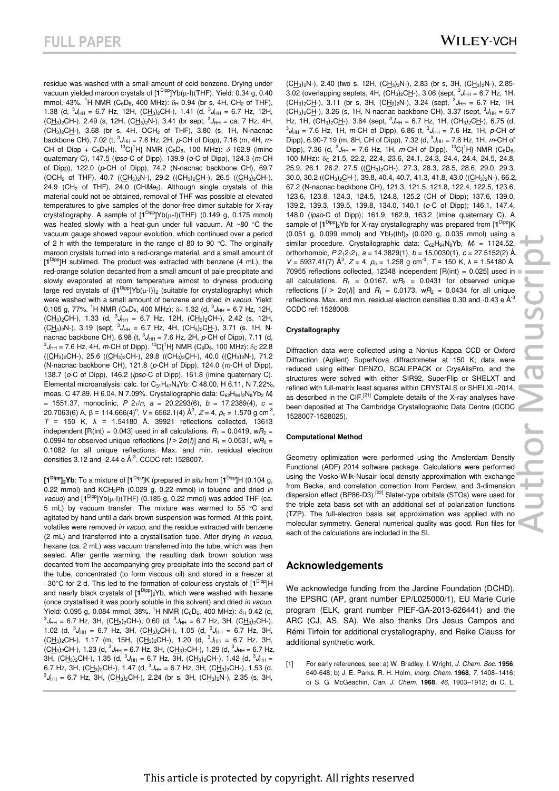residue was washed with a small amount of cold benzene. Drying under vacuum yielded maroon crystals of [1<sup>Dipp</sup>]Yb(µ-I)(THF). Yield: 0.34 g, 0.40 mmol, 43%. <sup>1</sup>H NMR (C<sub>6</sub>D<sub>6</sub>, 400 MHz):  $\delta_H$  0.94 (br s, 4H, CH<sub>2</sub> of THF), 1.38 (d,  ${}^{3}J_{HH}$  = 6.7 Hz, 12H, (CH<sub>3</sub>)<sub>2</sub>CH-), 1.41 (d,  ${}^{3}J_{HH}$  = 6.7 Hz, 12H,  $(CH_3)_2$ CH-), 2.49 (s, 12H,  $(CH_3)_2$ N-), 3.41 (br sept,  ${}^3J_{HH}$  = ca. 7 Hz, 4H,  $(CH_3)_2CH-$ ), 3.68 (br s, 4H, OCH<sub>2</sub> of THF), 3.80 (s, 1H, N-nacnac backbone CH), 7.02 (t,  ${}^{3}$ *J*<sub>HH</sub> = 7.6 Hz, 2H, *p*-CH of Dipp), 7.16 (m, 4H, *m*-CH of Dipp + C<sub>6</sub>D<sub>5</sub>H). <sup>13</sup>C{<sup>1</sup>H} NMR (C<sub>6</sub>D<sub>6</sub>, 100 MHz):  $\delta$  162.9 (imine quaternary C), 147.5 (*ipso*-C of Dipp), 139.9 (*o*-C of Dipp), 124.3 (*m*-CH of Dipp), 122.0 (*p*-CH of Dipp), 74.2 (N-nacnac backbone CH), 69.7  $(OCH_2$  of THF), 40.7 (( $CH_3$ )<sub>2</sub>N-), 29.2 (( $CH_3$ )<sub>2</sub> $CH$ -), 26.5 (( $CH_3$ )<sub>2</sub> $CH$ -), 24.9 (CH<sub>2</sub> of THF), 24.0 (CHMe<sub>2</sub>). Although single crystals of this material could not be obtained, removal of THF was possible at elevated temperatures to give samples of the donor-free dimer suitable for X-ray crystallography. A sample of  $[1^{Dipp}]Yb(\mu-1)(THF)$  (0.149 g, 0.175 mmol) was heated slowly with a heat-gun under full vacuum. At ~80  $\degree$ C the vacuum gauge showed vapour evolution, which continued over a period of 2 h with the temperature in the range of 80 to 90  $^{\circ}$ C. The originally maroon crystals turned into a red-orange material, and a small amount of [**1** Dipp]H sublimed. The product was extracted with benzene (4 mL), the red-orange solution decanted from a small amount of pale precipitate and slowly evaporated at room temperature almost to dryness producing large red crystals of  $\{[\mathbf{1}^{\text{Dipp}}]Yb(\mu-1)\}_2$  (suitable for crystallography) which were washed with a small amount of benzene and dried *in vacuo*. Yield: 0.105 g, 77%. <sup>1</sup>H NMR (C<sub>6</sub>D<sub>6</sub>, 400 MHz):  $\delta_H$  1.32 (d,  ${}^3J_{HH}$  = 6.7 Hz, 12H,  $(CH_3)_2$ CH-), 1.33 (d,  ${}^3J_{HH}$  = 6.7 Hz, 12H,  $(CH_3)_2$ CH-), 2.42 (s, 12H,  $(CH_3)_2N$ -), 3.19 (sept,  ${}^3J_{HH} = 6.7$  Hz, 4H,  $(CH_3)_2CL$ -), 3.71 (s, 1H, Nnacnac backbone CH), 6.98 (t,  ${}^{3}J_{HH}$  = 7.6 Hz, 2H, p-CH of Dipp), 7.11 (d,  $^3J_{\rm{HH}}$  = 7.6 Hz, 4H, *m*-CH of Dipp).  $^{13}$ C{<sup>1</sup>H} NMR (C<sub>6</sub>D<sub>6</sub>, 100 MHz):  $\delta_{\rm{C}}$  22.8  $((CH<sub>3</sub>)<sub>2</sub>CH<sup>-</sup>), 25.6 ((CH<sub>3</sub>)<sub>2</sub>CH<sup>-</sup>), 29.8 ((CH<sub>3</sub>)<sub>2</sub>CH<sup>-</sup>), 40.0 ((CH<sub>3</sub>)<sub>2</sub>N<sup>-</sup>), 71.2$ (N-nacnac backbone CH), 121.8 (*p*-CH of Dipp), 124.0 (*m*-CH of Dipp), 138.7 (*o*-C of Dipp), 146.2 (*ipso*-C of Dipp), 161.8 (imine quaternary C). Elemental microanalysis: calc. for  $C_{31}H_{47}N_4Yb$ : C 48.00, H 6.11, N 7.22%, meas. C 47.89, H 6.04, N 7.09%. Crystallographic data: C62H94I2N8Yb<sup>2</sup> *M*<sup>r</sup> = 1551.37, monoclinic, *P* 21/*n, a* = 20.2293(6), *b* = 17.2389(4), *c* = 20.7063(6) Å, β = 114.666(4)<sup>o</sup>, *V* = 6562.1(4) Å<sup>3</sup>, *Z* = 4, *ρ*<sub>c</sub> = 1.570 g cm<sup>-3</sup>, *T* = 150 K, λ = 1.54180 Å. 39921 reflections collected, 13613 independent  $[R(int) = 0.043]$  used in all calculations.  $R_1 = 0.0419$ ,  $wR_2 =$ 0.0994 for observed unique reflections  $[I > 2\sigma/\hbar]$  and  $R_1 = 0.0531$ , w $R_2 =$ 0.1082 for all unique reflections. Max. and min. residual electron densities  $3.12$  and  $-2.44$  e  $\AA$ <sup>-3</sup>. CCDC ref: 1528007.

**[1Dipp]2Yb**: To a mixture of [**1** Dipp]K (prepared *in situ* from [**1** Dipp]H (0.104 g, 0.22 mmol) and KCH2Ph (0.029 g, 0.22 mmol) in toluene and dried *in*   $vacuo$ ) and  $[1^{Dipp}]Yb(\mu-l)(THF)$  (0.185 g, 0.22 mmol) was added THF (ca. 5 mL) by vacuum transfer. The mixture was warmed to 55  $\degree$ C and agitated by hand until a dark brown suspension was formed. At this point, volatiles were removed *in vacuo*, and the residue extracted with benzene (2 mL) and transferred into a crystallisation tube. After drying *in vacuo*, hexane (ca. 2 mL) was vacuum transferred into the tube, which was then sealed. After gentle warming, the resulting dark brown solution was decanted from the accompanying grey precipitate into the second part of the tube, concentrated (to form viscous oil) and stored in a freezer at -30°C for 2 d. This led to the formation of colourless crystals of [1<sup>Dipp</sup>]H and nearly black crystals of [**1** Dipp]2Yb, which were washed with hexane (once crystallised it was poorly soluble in this solvent) and dried *in vacuo*. Yield: 0.095 g, 0.084 mmol, 38%. <sup>1</sup>H NMR (C<sub>6</sub>D<sub>6</sub>, 400 MHz):  $\delta_H$  0.42 (d,  ${}^{3}J_{HH}$  = 6.7 Hz, 3H, (CH<sub>3</sub>)<sub>2</sub>CH-), 0.60 (d,  ${}^{3}J_{HH}$  = 6.7 Hz, 3H, (CH<sub>3</sub>)<sub>2</sub>CH-), 1.02 (d,  ${}^{3}J_{HH}$  = 6.7 Hz, 3H, (CH<sub>3</sub>)<sub>2</sub>CH-), 1.05 (d,  ${}^{3}J_{HH}$  = 6.7 Hz, 3H,  $(CH_3)_2$ CH-), 1.17 (m, 15H,  $(CH_3)_2$ CH-), 1.20 (d,  ${}^3J_{HH}$  = 6.7 Hz, 3H,  $(CH_3)_2CH$ -), 1.23 (d,  ${}^3J_{HH}$  = 6.7 Hz, 3H,  $(CH_3)_2CH$ -), 1.29 (d,  ${}^3J_{HH}$  = 6.7 Hz, 3H, (C<u>H3)</u><sub>2</sub>CH-), 1.35 (d, <sup>3</sup>J<sub>HH</sub> = 6.7 Hz, 3H, (C<u>H3</u>)<sub>2</sub>CH-), 1.42 (d, <sup>3</sup>J<sub>HH</sub> = 6.7 Hz, 3H, (CH<sub>3</sub>)<sub>2</sub>CH-), 1.47 (d,  ${}^{3}J_{HH}$  = 6.7 Hz, 3H, (CH<sub>3</sub>)<sub>2</sub>CH-), 1.53 (d,  ${}^{3}J_{HH}$  = 6.7 Hz, 3H, (CH<sub>3</sub>)<sub>2</sub>CH-), 2.24 (br s, 3H, (CH<sub>3</sub>)<sub>2</sub>N-), 2.35 (s, 3H,

 $(CH<sub>3</sub>)<sub>2</sub>N-$ ), 2.40 (two s, 12H, (CH<sub>3</sub>)<sub>2</sub>N-), 2.83 (br s, 3H, (CH<sub>3</sub>)<sub>2</sub>N-), 2.85-3.02 (overlapping septets, 4H,  $(CH_3)_2CH$ -), 3.06 (sept,  ${}^3J_{HH}$  = 6.7 Hz, 1H,  $(CH_3)_2CH$ -), 3.11 (br s, 3H,  $(CH_3)_2N$ -), 3.24 (sept,  ${}^3J_{HH} = 6.7$  Hz, 1H,  $(CH_3)_2CH$ -), 3.26 (s, 1H, N-nacnac backbone CH), 3.37 (sept,  ${}^3J_{HH} = 6.7$ Hz, 1H, (CH<sub>3</sub>)<sub>2</sub>CH-), 3.64 (sept,  ${}^{3}J_{HH}$  = 6.7 Hz, 1H, (CH<sub>3</sub>)<sub>2</sub>CH-), 6.75 (d,  ${}^{3}J_{HH}$  = 7.6 Hz, 1H, *m*-CH of Dipp), 6.86 (t,  ${}^{3}J_{HH}$  = 7.6 Hz, 1H, *p*-CH of Dipp), 6.90-7.19 (m, 8H, CH of Dipp), 7.32 (d,  ${}^{3}J_{HH}$  = 7.6 Hz, 1H, *m*-CH of Dipp), 7.36 (d,  ${}^{3}J_{HH}$  = 7.6 Hz, 1H, *m*-CH of Dipp). <sup>13</sup>C{<sup>1</sup>H} NMR (C<sub>6</sub>D<sub>6</sub>, 100 MHz): δ<sub>C</sub> 21.5, 22.2, 22.4, 23.6, 24.1, 24.3, 24.4, 24.4, 24.5, 24.8, 25.9, 26.1, 26.2, 27.5 ((CH<sub>3</sub>)<sub>2</sub>CH-), 27.3, 28.3, 28.5, 28.6, 29.0, 29.3, 30.0, 30.2 ((CH<sub>3</sub>)<sub>2</sub>CH-), 39.8, 40.4, 40.7, 41.3, 41.8, 43.0 ((CH<sub>3</sub>)<sub>2</sub>N-), 66.2, 67.2 (N-nacnac backbone CH), 121.3, 121.5, 121.8, 122.4, 122.5, 123.6, 123.6, 123.8, 124.3, 124.5, 124.8, 125.2 (CH of Dipp); 137.6, 139.0, 139.2, 139.3, 139.5, 139.8, 134.0, 140.1 (*o*-C of Dipp); 146.1, 147.4, 148.0 (*ipso*-C of Dipp); 161.9, 162.9, 163.2 (imine quaternary C). A sample of  $[1^{Dipp}]_2$ Yb for X-ray crystallography was prepared from  $[1^{Dipp}]K$  $(0.051 \text{ g}, 0.099 \text{ mmol})$  and  $Ybl_2(thf)_2$   $(0.020 \text{ g}, 0.035 \text{ mmol})$  using a similar procedure. Crystallographic data: C<sub>62</sub>H<sub>94</sub>N<sub>8</sub>Yb, M<sub>r</sub> = 1124.52. orthorhombic, *P* 212121*, a* = 14.3829(1), *b* = 15.0030(1), *c* = 27.5152(2) Å,  $V = 5937.41(7)$  Å<sup>3</sup>,  $Z = 4$ ,  $ρ_c = 1.258$  g cm<sup>-3</sup>,  $T = 150$  K,  $λ = 1.54180$  Å. 70955 reflections collected, 12348 independent  $[R(int) = 0.025]$  used in all calculations.  $R_1 = 0.0167$ ,  $wR_2 = 0.0431$  for observed unique reflections  $[I > 2\sigma(I)]$  and  $R_1 = 0.0173$ ,  $wR_2 = 0.0434$  for all unique reflections. Max. and min. residual electron densities 0.30 and -0.43 e  $\mathring{A}^3$ . CCDC ref: 1528008.

#### **Crystallography**

Diffraction data were collected using a Nonius Kappa CCD or Oxford Diffraction (Agilent) SuperNova diffractometer at 150 K; data were reduced using either DENZO, SCALEPACK or CrysAlisPro, and the structures were solved with either SIR92, SuperFlip or SHELXT and refined with full-matrix least squares within CRYSTALS or SHELXL-2014, as described in the CIF.<sup>[21]</sup> Complete details of the X-ray analyses have been deposited at The Cambridge Crystallographic Data Centre (CCDC 1528007-1528025).

#### **Computational Method**

Geometry optimization were performed using the Amsterdam Density Functional (ADF) 2014 software package. Calculations were performed using the Vosko-Wilk-Nusair local density approximation with exchange from Becke, and correlation correction from Perdew, and 3-dimension dispersion effect (BP86-D3).<sup>[22]</sup> Slater-type orbitals (STOs) were used for the triple zeta basis set with an additional set of polarization functions (TZP). The full-electron basis set approximation was applied with no molecular symmetry. General numerical quality was good. Run files for each of the calculations are included in the SI.

#### **Acknowledgements**

We acknowledge funding from the Jardine Foundation (DCHD), the EPSRC (AP, grant number EP/L025000/1), EU Marie Curie program (ELK, grant number PIEF-GA-2013-626441) and the ARC (CJ, AS, SA). We also thanks Drs Jesus Campos and Rémi Tirfoin for additional crystallography, and Reike Clauss for additional synthetic work.

[1] For early references, see: a) W. Bradley, I. Wright, *J. Chem. Soc.* **1956**, 640-648; b) J. E. Parks, R. H. Holm, *Inorg. Chem*. **1968**, *7*, 1408–1416; c) S. G. McGeachin, *Can. J. Chem.* **1968**, *46*, 1903–1912; d) C. L.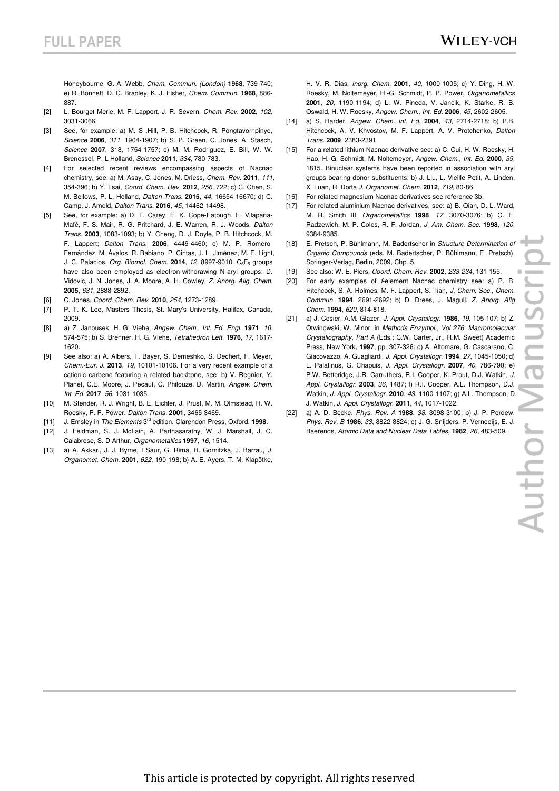Honeybourne, G. A. Webb, *Chem. Commun. (London)* **1968**, 739-740; e) R. Bonnett, D. C. Bradley, K. J. Fisher, *Chem. Commun*. **1968**, 886- 887.

- [2] L. Bourget-Merle, M. F. Lappert, J. R. Severn, *Chem. Rev.* **2002**, *102*, 3031-3066.
- [3] See, for example: a) M. S .Hill, P. B. Hitchcock, R. Pongtavornpinyo, *Science* **2006**, *311*, 1904-1907; b) S. P. Green, C. Jones, A. Stasch, *Science* **2007**, 318, 1754-1757; c) M. M. Rodriguez, E. Bill, W. W. Brenessel, P. L Holland, *Science* **2011**, *334*, 780-783.
- [4] For selected recent reviews encompassing aspects of Nacnac chemistry, see: a) M. Asay, C. Jones, M. Driess, *Chem. Rev.* **2011**, *111*, 354-396; b) Y. Tsai, *Coord. Chem. Rev*. **2012**, *256*, 722; c) C. Chen, S. M. Bellows, P. L. Holland, *Dalton Trans.* **2015**, *44*, 16654-16670; d) C. Camp, J. Arnold, *Dalton Trans*. **2016**, *45*, 14462-14498.
- [5] See, for example: a) D. T. Carey, E. K. Cope-Eatough, E. Vilapana-Mafé, F. S. Mair, R. G. Pritchard, J. E. Warren, R. J. Woods, *Dalton Trans.* **2003**, 1083-1093; b) Y. Cheng, D. J. Doyle, P. B. Hitchcock, M. F. Lappert; *Dalton Trans.* **2006**, 4449-4460; c) M. P. Romero-Fernández, M. Ávalos, R. Babiano, P. Cintas, J. L. Jiménez, M. E. Light, J. C. Palacios, *Org. Biomol. Chem.* **2014**, 12, 8997-9010. C<sub>6</sub>F<sub>5</sub> groups have also been employed as electron-withdrawing N-aryl groups: D. Vidovic, J. N. Jones, J. A. Moore, A. H. Cowley, *Z. Anorg. Allg. Chem.*  **2005**, *631*, 2888-2892.
- [6] C. Jones, *Coord. Chem. Rev.* **2010**, *254*, 1273-1289.
- [7] P. T. K. Lee, Masters Thesis, St. Mary's University, Halifax, Canada, 2009.
- [8] a) Z. Janousek, H. G. Viehe, *Angew. Chem., Int. Ed. Engl.* **1971**, *10*, 574-575; b) S. Brenner, H. G. Viehe, *Tetrahedron Lett.* **1976**, *17*, 1617- 1620.
- [9] See also: a) A. Albers, T. Bayer, S. Demeshko, S. Dechert, F. Meyer, *Chem.-Eur. J.* **2013**, *19*, 10101-10106. For a very recent example of a cationic carbene featuring a related backbone, see: b) V. Regnier, Y. Planet, C.E. Moore, J. Pecaut, C. Philouze, D. Martin, *Angew. Chem. Int. Ed.* **2017**, *56*, 1031-1035.
- [10] M. Stender, R. J. Wright, B. E. Eichler, J. Prust, M. M. Olmstead, H. W. Roesky, P. P. Power, *Dalton Trans.* **2001**, 3465-3469.
- [11] J. Emsley in *The Elements* 3rd edition, Clarendon Press, Oxford, **1998**.
- [12] J. Feldman, S. J. McLain, A. Parthasarathy, W. J. Marshall, J. C. Calabrese, S. D Arthur, *Organometallics* **1997**, *16*, 1514.
- [13] a) A. Akkari, J. J. Byrne, I Saur, G. Rima, H. Gornitzka, J. Barrau, *J. Organomet. Chem.* **2001**, *622*, 190-198; b) A. E. Ayers, T. M. Klapötke,

H. V. R. Dias, *Inorg. Chem.* **2001**, *40*, 1000-1005; c) Y. Ding, H. W. Roesky, M. Noltemeyer, H.-G. Schmidt, P. P. Power, *Organometallics*  **2001**, *20*, 1190-1194; d) L. W. Pineda, V. Jancik, K. Starke, R. B. Oswald, H. W. Roesky, *Angew. Chem., Int. Ed.* **2006**, *45*, 2602-2605.

- [14] a) S. Harder, *Angew. Chem. Int. Ed.* **2004**, *43*, 2714-2718; b) P.B. Hitchcock, A. V. Khvostov, M. F. Lappert, A. V. Protchenko, *Dalton Trans*. **2009**, 2383-2391.
- [15] For a related lithium Nacnac derivative see: a) C. Cui, H. W. Roesky, H. Hao, H.-G. Schmidt, M. Noltemeyer, *Angew. Chem., Int. Ed.* **2000**, *39*, 1815. Binuclear systems have been reported in association with aryl groups bearing donor substituents: b) J. Liu, L. Vieille-Petit, A. Linden, X. Luan, R. Dorta *J. Organomet. Chem.* **2012**, *719*, 80-86.
- [16] For related magnesium Nacnac derivatives see reference 3b.
- [17] For related aluminium Nacnac derivatives, see: a) B. Qian, D. L. Ward, M. R. Smith III, *Organometallics* **1998***, 17*, 3070-3076; b) C. E. Radzewich, M. P. Coles, R. F. Jordan, *J. Am. Chem. Soc.* **1998**, *120*, 9384-9385.
- [18] E. Pretsch, P. Bühlmann, M. Badertscher in *Structure Determination of Organic Compounds* (eds. M. Badertscher, P. Bühlmann, E. Pretsch), Springer-Verlag, Berlin, 2009, Chp. 5.
- [19] See also: W. E. Piers, *Coord. Chem. Rev.* **2002**, *233-234*, 131-155.
- [20] For early examples of *f*-element Nacnac chemistry see: a) P. B. Hitchcock, S. A. Holmes, M. F. Lappert, S. Tian, *J. Chem. Soc., Chem. Commun.* **1994**, 2691-2692; b) D. Drees, J. Magull, *Z. Anorg. Allg Chem.* **1994**, *620*, 814-818.
- [21] a) J. Cosier, A.M. Glazer, *J. Appl. Crystallogr.* **1986**, *19*, 105-107; b) Z. Otwinowski, W. Minor, in *Methods Enzymol., Vol 276*: *Macromolecular Crystallography*, *Part A* (Eds.: C.W. Carter, Jr., R.M. Sweet) Academic Press, New York, **1997**, pp. 307-326; c) A. Altomare, G. Cascarano, C. Giacovazzo, A. Guagliardi, *J. Appl. Crystallogr.* **1994**, *27*, 1045-1050; d) L. Palatinus, G. Chapuis, *J. Appl. Crystallogr.* **2007**, *40*, 786-790; e) P.W. Betteridge, J.R. Carruthers, R.I. Cooper, K. Prout, D.J. Watkin, *J. Appl. Crystallogr.* **2003**, *36*, 1487; f) R.I. Cooper, A.L. Thompson, D.J. Watkin, *J. Appl. Crystallogr.* **2010**, *43*, 1100-1107; g) A.L. Thompson, D. J. Watkin, *J. Appl. Crystallogr.* **2011**, *44*, 1017-1022.
- [22] a) A. D. Becke, *Phys. Rev. A* **1988**, *38*, 3098-3100; b) J. P. Perdew, *Phys. Rev. B* **1986**, *33*, 8822-8824; c) J. G. Snijders, P. Vernooijs, E. J. Baerends, *Atomic Data and Nuclear Data Tables*, **1982**, *26*, 483-509.